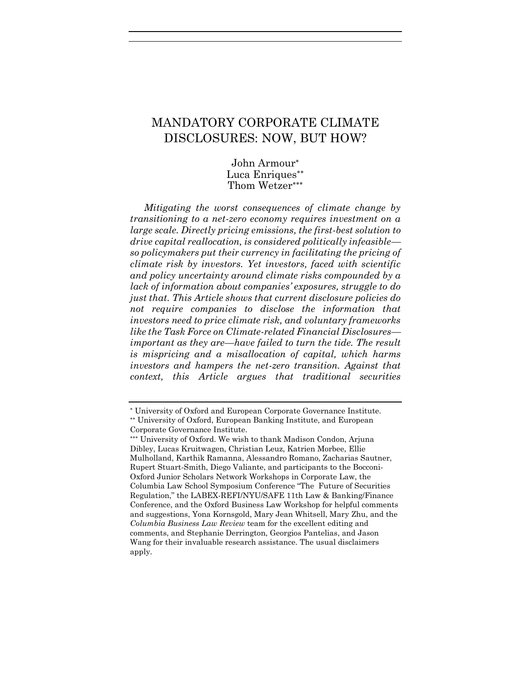# MANDATORY CORPORATE CLIMATE DISCLOSURES: NOW, BUT HOW?

John Armour Luca Enriques Thom Wetzer

*Mitigating the worst consequences of climate change by transitioning to a net-zero economy requires investment on a large scale. Directly pricing emissions, the first-best solution to drive capital reallocation, is considered politically infeasible so policymakers put their currency in facilitating the pricing of climate risk by investors. Yet investors, faced with scientific and policy uncertainty around climate risks compounded by a lack of information about companies' exposures, struggle to do just that. This Article shows that current disclosure policies do not require companies to disclose the information that investors need to price climate risk, and voluntary frameworks like the Task Force on Climate-related Financial Disclosures important as they are—have failed to turn the tide. The result is mispricing and a misallocation of capital, which harms investors and hampers the net-zero transition. Against that context, this Article argues that traditional securities* 

University of Oxford and European Corporate Governance Institute.

University of Oxford, European Banking Institute, and European Corporate Governance Institute.

University of Oxford. We wish to thank Madison Condon, Arjuna Dibley, Lucas Kruitwagen, Christian Leuz, Katrien Morbee, Ellie Mulholland, Karthik Ramanna, Alessandro Romano, Zacharias Sautner, Rupert Stuart-Smith, Diego Valiante, and participants to the Bocconi-Oxford Junior Scholars Network Workshops in Corporate Law, the Columbia Law School Symposium Conference "The Future of Securities Regulation," the LABEX-REFI/NYU/SAFE 11th Law & Banking/Finance Conference, and the Oxford Business Law Workshop for helpful comments and suggestions, Yona Kornsgold, Mary Jean Whitsell, Mary Zhu, and the *Columbia Business Law Review* team for the excellent editing and comments, and Stephanie Derrington, Georgios Pantelias, and Jason Wang for their invaluable research assistance. The usual disclaimers apply.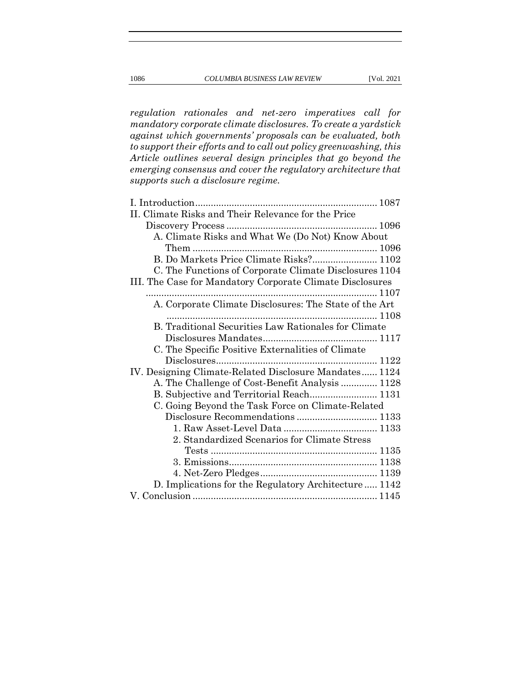*regulation rationales and net-zero imperatives call for mandatory corporate climate disclosures. To create a yardstick against which governments' proposals can be evaluated, both to support their efforts and to call out policy greenwashing, this Article outlines several design principles that go beyond the emerging consensus and cover the regulatory architecture that* 

*supports such a disclosure regime.*

| II. Climate Risks and Their Relevance for the Price       |
|-----------------------------------------------------------|
|                                                           |
| A. Climate Risks and What We (Do Not) Know About          |
|                                                           |
| B. Do Markets Price Climate Risks? 1102                   |
| C. The Functions of Corporate Climate Disclosures 1104    |
| III. The Case for Mandatory Corporate Climate Disclosures |
|                                                           |
| A. Corporate Climate Disclosures: The State of the Art    |
|                                                           |
| B. Traditional Securities Law Rationales for Climate      |
|                                                           |
| C. The Specific Positive Externalities of Climate         |
|                                                           |
| IV. Designing Climate-Related Disclosure Mandates 1124    |
| A. The Challenge of Cost-Benefit Analysis  1128           |
| B. Subjective and Territorial Reach 1131                  |
| C. Going Beyond the Task Force on Climate-Related         |
|                                                           |
|                                                           |
| 2. Standardized Scenarios for Climate Stress              |
|                                                           |
|                                                           |
|                                                           |
| D. Implications for the Regulatory Architecture  1142     |
|                                                           |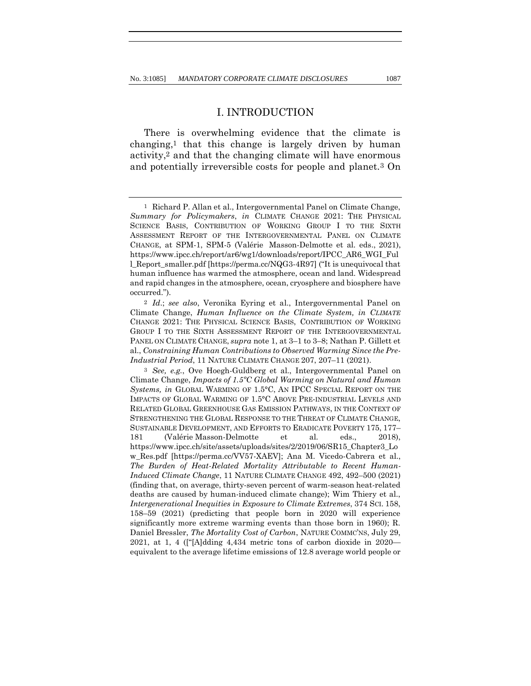### I. INTRODUCTION

There is overwhelming evidence that the climate is changing,1 that this change is largely driven by human activity,2 and that the changing climate will have enormous and potentially irreversible costs for people and planet.3 On

<sup>1</sup> Richard P. Allan et al., Intergovernmental Panel on Climate Change, *Summary for Policymakers*, *in* CLIMATE CHANGE 2021: THE PHYSICAL SCIENCE BASIS, CONTRIBUTION OF WORKING GROUP I TO THE SIXTH ASSESSMENT REPORT OF THE INTERGOVERNMENTAL PANEL ON CLIMATE CHANGE, at SPM-1, SPM-5 (Valérie Masson-Delmotte et al. eds., 2021), https://www.ipcc.ch/report/ar6/wg1/downloads/report/IPCC\_AR6\_WGI\_Ful l\_Report\_smaller.pdf [https://perma.cc/NQG3-4R97] ("It is unequivocal that human influence has warmed the atmosphere, ocean and land. Widespread and rapid changes in the atmosphere, ocean, cryosphere and biosphere have occurred.").

<sup>2</sup> *Id*.; *see also*, Veronika Eyring et al., Intergovernmental Panel on Climate Change, *Human Influence on the Climate System, in CLIMATE* CHANGE 2021: THE PHYSICAL SCIENCE BASIS, CONTRIBUTION OF WORKING GROUP I TO THE SIXTH ASSESSMENT REPORT OF THE INTERGOVERNMENTAL PANEL ON CLIMATE CHANGE, *supra* note 1, at 3–1 to 3–8; Nathan P. Gillett et al., *Constraining Human Contributions to Observed Warming Since the Pre-Industrial Period*, 11 NATURE CLIMATE CHANGE 207, 207–11 (2021).

<sup>3</sup> *See, e.g.*, Ove Hoegh-Guldberg et al., Intergovernmental Panel on Climate Change, *Impacts of 1.5ºC Global Warming on Natural and Human Systems, in* GLOBAL WARMING OF 1.5°C, AN IPCC SPECIAL REPORT ON THE IMPACTS OF GLOBAL WARMING OF 1.5°C ABOVE PRE-INDUSTRIAL LEVELS AND RELATED GLOBAL GREENHOUSE GAS EMISSION PATHWAYS, IN THE CONTEXT OF STRENGTHENING THE GLOBAL RESPONSE TO THE THREAT OF CLIMATE CHANGE, SUSTAINABLE DEVELOPMENT, AND EFFORTS TO ERADICATE POVERTY 175, 177– 181 (Valérie Masson-Delmotte et al. eds., 2018), https://www.ipcc.ch/site/assets/uploads/sites/2/2019/06/SR15\_Chapter3\_Lo w\_Res.pdf [https://perma.cc/VV57-XAEV]; Ana M. Vicedo-Cabrera et al., *The Burden of Heat-Related Mortality Attributable to Recent Human-Induced Climate Change*, 11 NATURE CLIMATE CHANGE 492, 492–500 (2021) (finding that, on average, thirty-seven percent of warm-season heat-related deaths are caused by human-induced climate change); Wim Thiery et al., *Intergenerational Inequities in Exposure to Climate Extremes*, 374 SCI. 158, 158–59 (2021) (predicting that people born in 2020 will experience significantly more extreme warming events than those born in 1960); R. Daniel Bressler, *The Mortality Cost of Carbon*, NATURE COMMC'NS, July 29, 2021, at 1, 4 (["[A]dding 4,434 metric tons of carbon dioxide in 2020 equivalent to the average lifetime emissions of 12.8 average world people or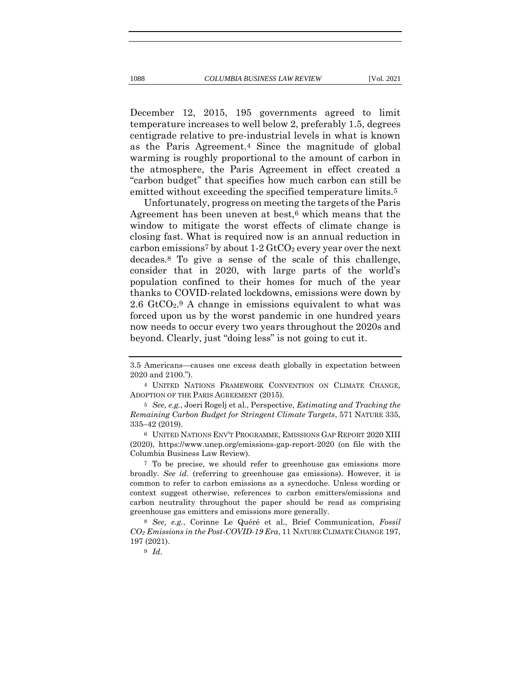December 12, 2015, 195 governments agreed to limit temperature increases to well below 2, preferably 1.5, degrees centigrade relative to pre-industrial levels in what is known as the Paris Agreement.4 Since the magnitude of global warming is roughly proportional to the amount of carbon in the atmosphere, the Paris Agreement in effect created a "carbon budget" that specifies how much carbon can still be emitted without exceeding the specified temperature limits.<sup>5</sup>

Unfortunately, progress on meeting the targets of the Paris Agreement has been uneven at best,<sup>6</sup> which means that the window to mitigate the worst effects of climate change is closing fast. What is required now is an annual reduction in carbon emissions<sup>7</sup> by about  $1-2$  GtCO<sub>2</sub> every year over the next decades.8 To give a sense of the scale of this challenge, consider that in 2020, with large parts of the world's population confined to their homes for much of the year thanks to COVID-related lockdowns, emissions were down by 2.6  $GtCO<sub>2</sub>$ . A change in emissions equivalent to what was forced upon us by the worst pandemic in one hundred years now needs to occur every two years throughout the 2020s and beyond. Clearly, just "doing less" is not going to cut it.

6 UNITED NATIONS ENV'T PROGRAMME, EMISSIONS GAP REPORT 2020 XIII (2020), https://www.unep.org/emissions-gap-report-2020 (on file with the Columbia Business Law Review).

7 To be precise, we should refer to greenhouse gas emissions more broadly. *See id.* (referring to greenhouse gas emissions). However, it is common to refer to carbon emissions as a synecdoche. Unless wording or context suggest otherwise, references to carbon emitters/emissions and carbon neutrality throughout the paper should be read as comprising greenhouse gas emitters and emissions more generally.

8 *See, e.g.*, Corinne Le Quéré et al., Brief Communication, *Fossil CO<sup>2</sup> Emissions in the Post-COVID-19 Era*, 11 NATURE CLIMATE CHANGE 197, 197 (2021).

<sup>3.5</sup> Americans—causes one excess death globally in expectation between 2020 and 2100.").

<sup>4</sup> UNITED NATIONS FRAMEWORK CONVENTION ON CLIMATE CHANGE, ADOPTION OF THE PARIS AGREEMENT (2015)*.*

<sup>5</sup> *See, e.g.*, Joeri Rogelj et al., Perspective, *Estimating and Tracking the Remaining Carbon Budget for Stringent Climate Targets*, 571 NATURE 335, 335–42 (2019).

<sup>9</sup> *Id*.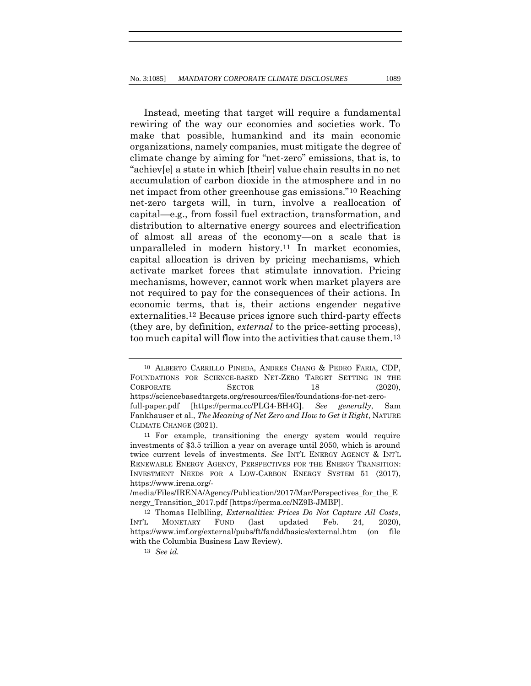Instead, meeting that target will require a fundamental rewiring of the way our economies and societies work. To make that possible, humankind and its main economic organizations, namely companies, must mitigate the degree of climate change by aiming for "net-zero" emissions, that is, to "achiev[e] a state in which [their] value chain results in no net accumulation of carbon dioxide in the atmosphere and in no net impact from other greenhouse gas emissions."10 Reaching net-zero targets will, in turn, involve a reallocation of capital—e.g., from fossil fuel extraction, transformation, and distribution to alternative energy sources and electrification of almost all areas of the economy—on a scale that is unparalleled in modern history.11 In market economies, capital allocation is driven by pricing mechanisms, which activate market forces that stimulate innovation. Pricing mechanisms, however, cannot work when market players are not required to pay for the consequences of their actions. In economic terms, that is, their actions engender negative externalities.12 Because prices ignore such third-party effects (they are, by definition, *external* to the price-setting process), too much capital will flow into the activities that cause them.13

<sup>10</sup> ALBERTO CARRILLO PINEDA, ANDRES CHANG & PEDRO FARIA, CDP, FOUNDATIONS FOR SCIENCE-BASED NET-ZERO TARGET SETTING IN THE CORPORATE SECTOR 18 (2020), https://sciencebasedtargets.org/resources/files/foundations-for-net-zerofull-paper.pdf [https://perma.cc/PLG4-BH4G]. *See generally*, Sam Fankhauser et al., *The Meaning of Net Zero and How to Get it Right*, NATURE CLIMATE CHANGE (2021).

<sup>11</sup> For example, transitioning the energy system would require investments of \$3.5 trillion a year on average until 2050, which is around twice current levels of investments. *See* INT'L ENERGY AGENCY & INT'L RENEWABLE ENERGY AGENCY, PERSPECTIVES FOR THE ENERGY TRANSITION: INVESTMENT NEEDS FOR A LOW-CARBON ENERGY SYSTEM 51 (2017), https://www.irena.org/-

<sup>/</sup>media/Files/IRENA/Agency/Publication/2017/Mar/Perspectives\_for\_the\_E nergy\_Transition\_2017.pdf [https://perma.cc/NZ9B-JMBP].

<sup>12</sup> Thomas Helblling, *Externalities: Prices Do Not Capture All Costs*, INT'L MONETARY FUND (last updated Feb. 24, 2020), https://www.imf.org/external/pubs/ft/fandd/basics/external.htm (on file with the Columbia Business Law Review).

<sup>13</sup> *See id.*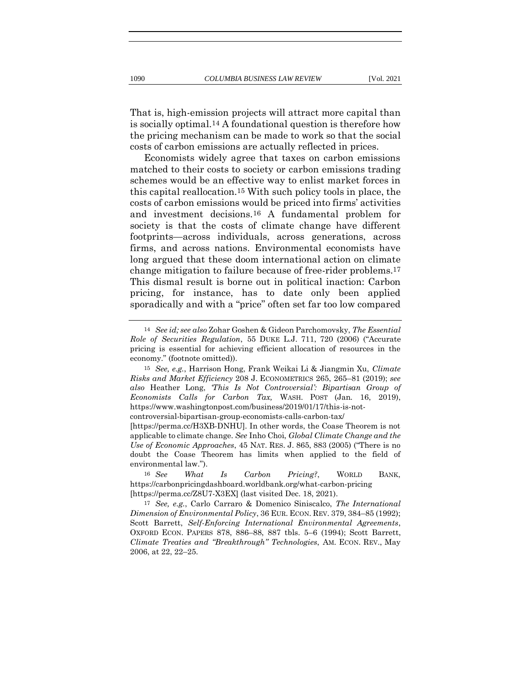That is, high-emission projects will attract more capital than is socially optimal.14 A foundational question is therefore how the pricing mechanism can be made to work so that the social costs of carbon emissions are actually reflected in prices.

Economists widely agree that taxes on carbon emissions matched to their costs to society or carbon emissions trading schemes would be an effective way to enlist market forces in this capital reallocation.15 With such policy tools in place, the costs of carbon emissions would be priced into firms' activities and investment decisions.16 A fundamental problem for society is that the costs of climate change have different footprints—across individuals, across generations, across firms, and across nations. Environmental economists have long argued that these doom international action on climate change mitigation to failure because of free-rider problems.17 This dismal result is borne out in political inaction: Carbon pricing, for instance, has to date only been applied sporadically and with a "price" often set far too low compared

controversial-bipartisan-group-economists-calls-carbon-tax/

[https://perma.cc/H3XB-DNHU]. In other words, the Coase Theorem is not applicable to climate change. *See* Inho Choi, *Global Climate Change and the Use of Economic Approaches*, 45 NAT. RES. J. 865, 883 (2005) ("There is no doubt the Coase Theorem has limits when applied to the field of environmental law.").

16 *See What Is Carbon Pricing?*, WORLD BANK, https://carbonpricingdashboard.worldbank.org/what-carbon-pricing [https://perma.cc/Z8U7-X3EX] (last visited Dec. 18, 2021).

17 *See, e.g.*, Carlo Carraro & Domenico Siniscalco, *The International Dimension of Environmental Policy*, 36 EUR. ECON. REV. 379, 384–85 (1992); Scott Barrett, *Self-Enforcing International Environmental Agreements*, OXFORD ECON. PAPERS 878, 886–88, 887 tbls. 5–6 (1994); Scott Barrett, *Climate Treaties and "Breakthrough" Technologies*, AM. ECON. REV., May 2006, at 22, 22–25.

<sup>14</sup> *See id; see also* Zohar Goshen & Gideon Parchomovsky, *The Essential Role of Securities Regulation*, 55 DUKE L.J. 711, 720 (2006) ("Accurate pricing is essential for achieving efficient allocation of resources in the economy." (footnote omitted)).

<sup>15</sup> *See, e.g.*, Harrison Hong, Frank Weikai Li & Jiangmin Xu, *Climate Risks and Market Efficiency* 208 J. ECONOMETRICS 265, 265–81 (2019); *see also* Heather Long, *'This Is Not Controversial': Bipartisan Group of Economists Calls for Carbon Tax,* WASH. POST (Jan. 16, 2019), https://www.washingtonpost.com/business/2019/01/17/this-is-not-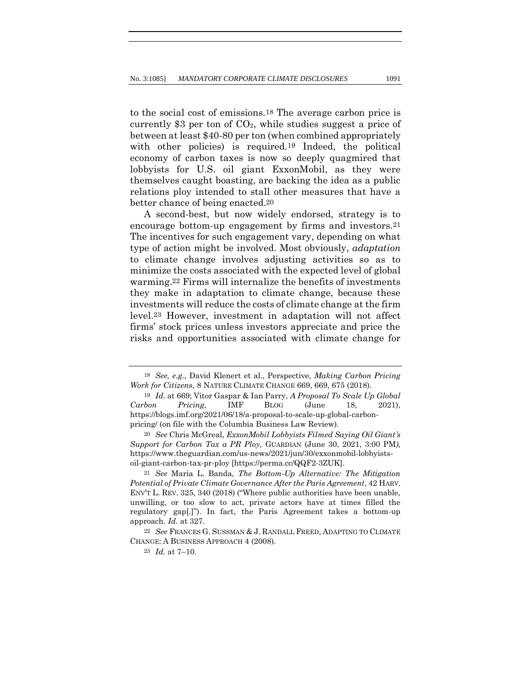to the social cost of emissions.18 The average carbon price is currently  $$3$  per ton of  $CO<sub>2</sub>$ , while studies suggest a price of between at least \$40-80 per ton (when combined appropriately with other policies) is required.<sup>19</sup> Indeed, the political economy of carbon taxes is now so deeply quagmired that lobbyists for U.S. oil giant ExxonMobil, as they were themselves caught boasting, are backing the idea as a public relations ploy intended to stall other measures that have a better chance of being enacted.20

A second-best, but now widely endorsed, strategy is to encourage bottom-up engagement by firms and investors.21 The incentives for such engagement vary, depending on what type of action might be involved. Most obviously, *adaptation* to climate change involves adjusting activities so as to minimize the costs associated with the expected level of global warming.22 Firms will internalize the benefits of investments they make in adaptation to climate change, because these investments will reduce the costs of climate change at the firm level.23 However, investment in adaptation will not affect firms' stock prices unless investors appreciate and price the risks and opportunities associated with climate change for

<sup>18</sup> *See, e.g.*, David Klenert et al., Perspective, *Making Carbon Pricing Work for Citizen*s, 8 NATURE CLIMATE CHANGE 669, 669, 675 (2018).

<sup>19</sup> *Id*. at 669; Vitor Gaspar & Ian Parry, *A Proposal To Scale Up Global Carbon Pricing*, IMF BLOG (June 18, 2021), https://blogs.imf.org/2021/06/18/a-proposal-to-scale-up-global-carbonpricing/ (on file with the Columbia Business Law Review).

<sup>20</sup> *See* Chris McGreal, *ExxonMobil Lobbyists Filmed Saying Oil Giant's Support for Carbon Tax a PR Ploy,* GUARDIAN (June 30, 2021, 3:00 PM*),* https://www.theguardian.com/us-news/2021/jun/30/exxonmobil-lobbyistsoil-giant-carbon-tax-pr-ploy [https://perma.cc/QQF2-3ZUK].

<sup>21</sup> *See* Maria L. Banda, *The Bottom-Up Alternative: The Mitigation Potential of Private Climate Governance After the Paris Agreement*, 42 HARV. ENV'T L. REV. 325, 340 (2018) ("Where public authorities have been unable, unwilling, or too slow to act, private actors have at times filled the regulatory gap[.]"). In fact, the Paris Agreement takes a bottom-up approach. *Id.* at 327.

<sup>22</sup> *See* FRANCES G. SUSSMAN & J. RANDALL FREED, ADAPTING TO CLIMATE CHANGE: A BUSINESS APPROACH 4 (2008).

<sup>23</sup> *Id.* at 7–10.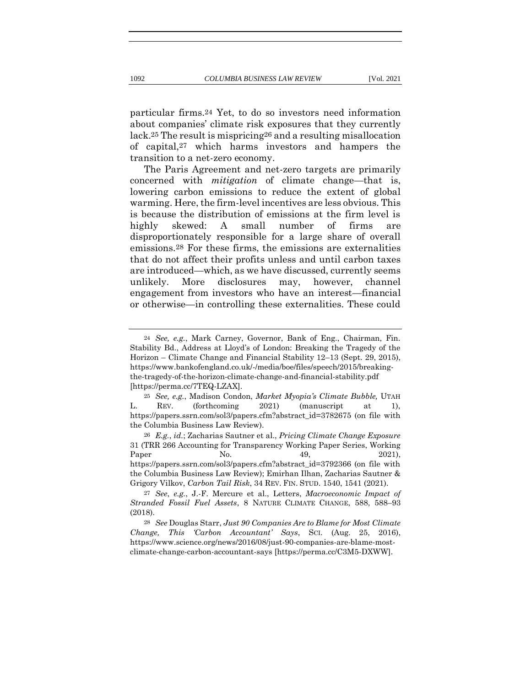particular firms.24 Yet, to do so investors need information about companies' climate risk exposures that they currently lack.25 The result is mispricing26 and a resulting misallocation of capital,27 which harms investors and hampers the transition to a net-zero economy.

The Paris Agreement and net-zero targets are primarily concerned with *mitigation* of climate change—that is, lowering carbon emissions to reduce the extent of global warming. Here, the firm-level incentives are less obvious. This is because the distribution of emissions at the firm level is highly skewed: A small number of firms are disproportionately responsible for a large share of overall emissions.28 For these firms, the emissions are externalities that do not affect their profits unless and until carbon taxes are introduced—which, as we have discussed, currently seems unlikely. More disclosures may, however, channel engagement from investors who have an interest—financial or otherwise—in controlling these externalities. These could

<sup>24</sup> *See, e.g.*, Mark Carney, Governor, Bank of Eng., Chairman, Fin. Stability Bd., Address at Lloyd's of London: Breaking the Tragedy of the Horizon – Climate Change and Financial Stability 12–13 (Sept. 29, 2015), https://www.bankofengland.co.uk/-/media/boe/files/speech/2015/breakingthe-tragedy-of-the-horizon-climate-change-and-financial-stability.pdf [https://perma.cc/7TEQ-LZAX].

<sup>25</sup> *See, e.g.*, Madison Condon, *Market Myopia's Climate Bubble,* UTAH L. REV. (forthcoming 2021) (manuscript at 1), https://papers.ssrn.com/sol3/papers.cfm?abstract\_id=3782675 (on file with the Columbia Business Law Review).

<sup>26</sup> *E.g.*, *id.*; Zacharias Sautner et al., *Pricing Climate Change Exposure*  31 (TRR 266 Accounting for Transparency Working Paper Series, Working Paper No. 49, 2021), https://papers.ssrn.com/sol3/papers.cfm?abstract\_id=3792366 (on file with the Columbia Business Law Review); Emirhan Ilhan, Zacharias Sautner & Grigory Vilkov, *Carbon Tail Risk*, 34 REV. FIN. STUD. 1540, 1541 (2021).

<sup>27</sup> *See*, *e.g.*, J.-F. Mercure et al., Letters, *Macroeconomic Impact of Stranded Fossil Fuel Assets*, 8 NATURE CLIMATE CHANGE, 588, 588–93 (2018).

<sup>28</sup> *See* Douglas Starr, *Just 90 Companies Are to Blame for Most Climate Change, This 'Carbon Accountant' Says*, SCI. (Aug. 25, 2016), https://www.science.org/news/2016/08/just-90-companies-are-blame-mostclimate-change-carbon-accountant-says [https://perma.cc/C3M5-DXWW].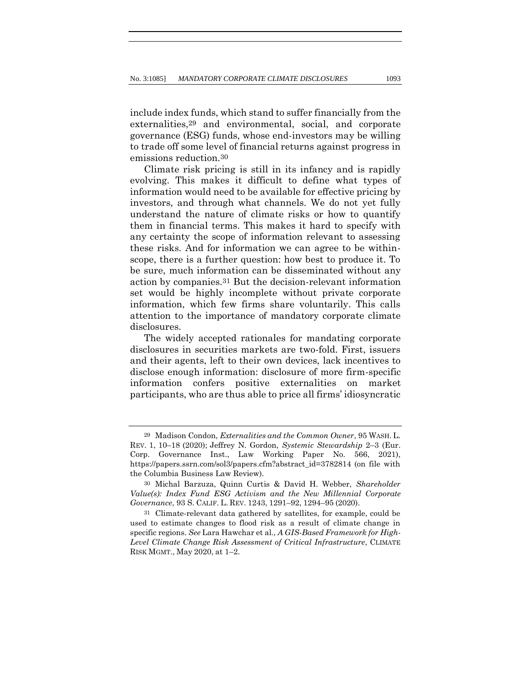include index funds, which stand to suffer financially from the externalities,29 and environmental, social, and corporate governance (ESG) funds, whose end-investors may be willing to trade off some level of financial returns against progress in emissions reduction.30

Climate risk pricing is still in its infancy and is rapidly evolving. This makes it difficult to define what types of information would need to be available for effective pricing by investors, and through what channels. We do not yet fully understand the nature of climate risks or how to quantify them in financial terms. This makes it hard to specify with any certainty the scope of information relevant to assessing these risks. And for information we can agree to be withinscope, there is a further question: how best to produce it. To be sure, much information can be disseminated without any action by companies.31 But the decision-relevant information set would be highly incomplete without private corporate information, which few firms share voluntarily. This calls attention to the importance of mandatory corporate climate disclosures.

The widely accepted rationales for mandating corporate disclosures in securities markets are two-fold. First, issuers and their agents, left to their own devices, lack incentives to disclose enough information: disclosure of more firm-specific information confers positive externalities on market participants, who are thus able to price all firms' idiosyncratic

<sup>29</sup> Madison Condon, *Externalities and the Common Owner*, 95 WASH. L. REV. 1, 10–18 (2020); Jeffrey N. Gordon, *Systemic Stewardship* 2–3 (Eur. Corp. Governance Inst., Law Working Paper No. 566, 2021), https://papers.ssrn.com/sol3/papers.cfm?abstract\_id=3782814 (on file with the Columbia Business Law Review).

<sup>30</sup> Michal Barzuza, Quinn Curtis & David H. Webber, *Shareholder Value(s): Index Fund ESG Activism and the New Millennial Corporate Governance*, 93 S. CALIF. L. REV. 1243, 1291–92, 1294–95 (2020).

<sup>31</sup> Climate-relevant data gathered by satellites, for example, could be used to estimate changes to flood risk as a result of climate change in specific regions. *See* Lara Hawchar et al., *A GIS-Based Framework for High-Level Climate Change Risk Assessment of Critical Infrastructure*, CLIMATE RISK MGMT., May 2020, at 1–2.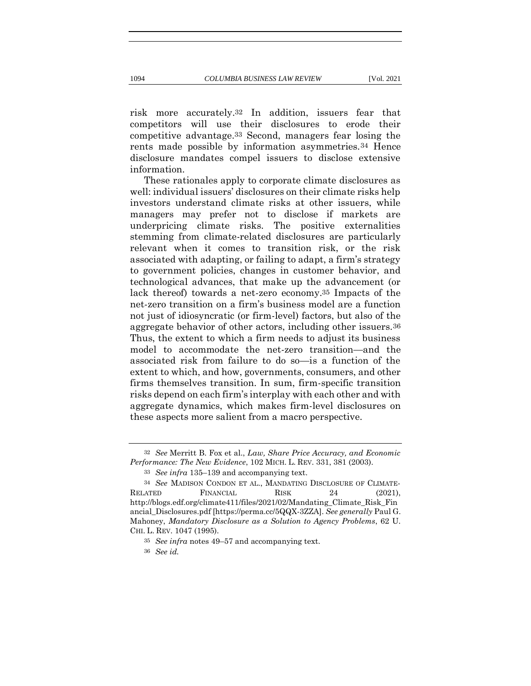disclosure mandates compel issuers to disclose extensive

risk more accurately.32 In addition, issuers fear that competitors will use their disclosures to erode their competitive advantage.33 Second, managers fear losing the rents made possible by information asymmetries.34 Hence

These rationales apply to corporate climate disclosures as well: individual issuers' disclosures on their climate risks help investors understand climate risks at other issuers, while managers may prefer not to disclose if markets are underpricing climate risks. The positive externalities stemming from climate-related disclosures are particularly relevant when it comes to transition risk, or the risk associated with adapting, or failing to adapt, a firm's strategy to government policies, changes in customer behavior, and technological advances, that make up the advancement (or lack thereof) towards a net-zero economy.35 Impacts of the net-zero transition on a firm's business model are a function not just of idiosyncratic (or firm-level) factors, but also of the aggregate behavior of other actors, including other issuers.36 Thus, the extent to which a firm needs to adjust its business model to accommodate the net-zero transition—and the associated risk from failure to do so—is a function of the extent to which, and how, governments, consumers, and other firms themselves transition. In sum, firm-specific transition risks depend on each firm's interplay with each other and with aggregate dynamics, which makes firm-level disclosures on these aspects more salient from a macro perspective.

information.

<sup>32</sup> *See* Merritt B. Fox et al., *Law, Share Price Accuracy, and Economic Performance: The New Evidence*, 102 MICH. L. REV. 331, 381 (2003).

<sup>33</sup> *See infra* 135–139 and accompanying text.

<sup>34</sup> *See* MADISON CONDON ET AL., MANDATING DISCLOSURE OF CLIMATE-RELATED FINANCIAL RISK 24 (2021), http://blogs.edf.org/climate411/files/2021/02/Mandating\_Climate\_Risk\_Fin ancial\_Disclosures.pdf [https://perma.cc/5QQX-3ZZA]. *See generally* Paul G. Mahoney, *Mandatory Disclosure as a Solution to Agency Problems*, 62 U. CHI. L. REV. 1047 (1995).

<sup>35</sup> *See infra* notes 49–57 and accompanying text.

<sup>36</sup> *See id.*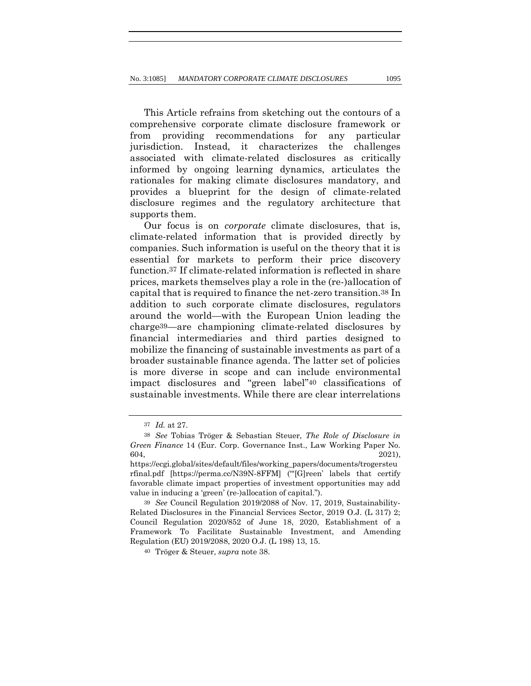This Article refrains from sketching out the contours of a comprehensive corporate climate disclosure framework or from providing recommendations for any particular jurisdiction. Instead, it characterizes the challenges associated with climate-related disclosures as critically informed by ongoing learning dynamics, articulates the rationales for making climate disclosures mandatory, and provides a blueprint for the design of climate-related disclosure regimes and the regulatory architecture that supports them.

Our focus is on *corporate* climate disclosures, that is, climate-related information that is provided directly by companies. Such information is useful on the theory that it is essential for markets to perform their price discovery function.37 If climate-related information is reflected in share prices, markets themselves play a role in the (re-)allocation of capital that is required to finance the net-zero transition.38 In addition to such corporate climate disclosures, regulators around the world—with the European Union leading the charge39—are championing climate-related disclosures by financial intermediaries and third parties designed to mobilize the financing of sustainable investments as part of a broader sustainable finance agenda. The latter set of policies is more diverse in scope and can include environmental impact disclosures and "green label"40 classifications of sustainable investments. While there are clear interrelations

<sup>37</sup> *Id.* at 27.

<sup>38</sup> *See* Tobias Tröger & Sebastian Steuer, *The Role of Disclosure in Green Finance* 14 (Eur. Corp. Governance Inst., Law Working Paper No.  $604,$  2021),

https://ecgi.global/sites/default/files/working\_papers/documents/trogersteu rfinal.pdf [https://perma.cc/N39N-8FFM] ("'[G]reen' labels that certify favorable climate impact properties of investment opportunities may add value in inducing a 'green' (re-)allocation of capital.").

<sup>39</sup> *See* Council Regulation 2019/2088 of Nov. 17, 2019, Sustainability‐ Related Disclosures in the Financial Services Sector, 2019 O.J. (L 317) 2; Council Regulation 2020/852 of June 18, 2020, Establishment of a Framework To Facilitate Sustainable Investment, and Amending Regulation (EU) 2019/2088, 2020 O.J. (L 198) 13, 15.

<sup>40</sup> Tröger & Steuer, *supra* note 38.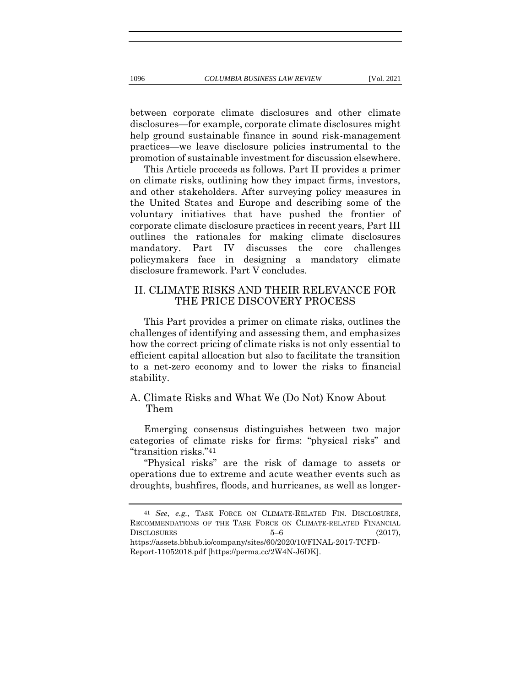between corporate climate disclosures and other climate disclosures—for example, corporate climate disclosures might help ground sustainable finance in sound risk-management practices—we leave disclosure policies instrumental to the promotion of sustainable investment for discussion elsewhere.

This Article proceeds as follows. Part II provides a primer on climate risks, outlining how they impact firms, investors, and other stakeholders. After surveying policy measures in the United States and Europe and describing some of the voluntary initiatives that have pushed the frontier of corporate climate disclosure practices in recent years, Part III outlines the rationales for making climate disclosures mandatory. Part IV discusses the core challenges policymakers face in designing a mandatory climate disclosure framework. Part V concludes.

# II. CLIMATE RISKS AND THEIR RELEVANCE FOR THE PRICE DISCOVERY PROCESS

This Part provides a primer on climate risks, outlines the challenges of identifying and assessing them, and emphasizes how the correct pricing of climate risks is not only essential to efficient capital allocation but also to facilitate the transition to a net-zero economy and to lower the risks to financial stability.

## A. Climate Risks and What We (Do Not) Know About Them

Emerging consensus distinguishes between two major categories of climate risks for firms: "physical risks" and "transition risks."41

"Physical risks" are the risk of damage to assets or operations due to extreme and acute weather events such as droughts, bushfires, floods, and hurricanes, as well as longer-

<sup>41</sup> *See*, *e.g.*, TASK FORCE ON CLIMATE-RELATED FIN. DISCLOSURES, RECOMMENDATIONS OF THE TASK FORCE ON CLIMATE-RELATED FINANCIAL DISCLOSURES  $5-6$  (2017), https://assets.bbhub.io/company/sites/60/2020/10/FINAL-2017-TCFD-Report-11052018.pdf [https://perma.cc/2W4N-J6DK].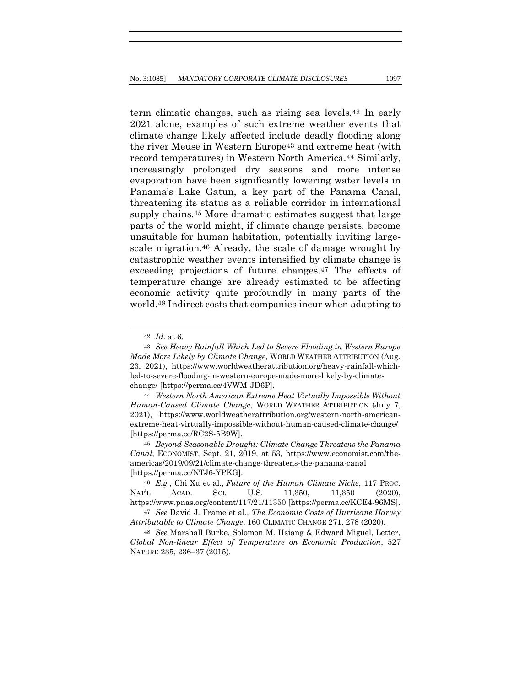term climatic changes, such as rising sea levels.42 In early 2021 alone, examples of such extreme weather events that climate change likely affected include deadly flooding along the river Meuse in Western Europe43 and extreme heat (with record temperatures) in Western North America.44 Similarly, increasingly prolonged dry seasons and more intense evaporation have been significantly lowering water levels in Panama's Lake Gatun, a key part of the Panama Canal, threatening its status as a reliable corridor in international supply chains.45 More dramatic estimates suggest that large parts of the world might, if climate change persists, become unsuitable for human habitation, potentially inviting largescale migration.46 Already, the scale of damage wrought by catastrophic weather events intensified by climate change is exceeding projections of future changes.47 The effects of temperature change are already estimated to be affecting economic activity quite profoundly in many parts of the world.48 Indirect costs that companies incur when adapting to

44 *Western North American Extreme Heat Virtually Impossible Without Human-Caused Climate Change*, WORLD WEATHER ATTRIBUTION (July 7, 2021), https://www.worldweatherattribution.org/western-north-americanextreme-heat-virtually-impossible-without-human-caused-climate-change/ [https://perma.cc/RC2S-5B9W].

45 *Beyond Seasonable Drought: Climate Change Threatens the Panama Canal*, ECONOMIST, Sept. 21, 2019, at 53, https://www.economist.com/theamericas/2019/09/21/climate-change-threatens-the-panama-canal [https://perma.cc/NTJ6-YPKG].

46 *E.g.*, Chi Xu et al., *Future of the Human Climate Niche*, 117 PROC. NAT'L ACAD. SCI. U.S. 11,350, 11,350 (2020), https://www.pnas.org/content/117/21/11350 [https://perma.cc/KCE4-96MS].

47 *See* David J. Frame et al., *The Economic Costs of Hurricane Harvey Attributable to Climate Change*, 160 CLIMATIC CHANGE 271, 278 (2020).

48 *See* Marshall Burke, Solomon M. Hsiang & Edward Miguel, Letter, *Global Non-linear Effect of Temperature on Economic Production*, 527 NATURE 235, 236–37 (2015).

<sup>42</sup> *Id*. at 6.

<sup>43</sup> *See Heavy Rainfall Which Led to Severe Flooding in Western Europe Made More Likely by Climate Change*, WORLD WEATHER ATTRIBUTION (Aug. 23, 2021), https://www.worldweatherattribution.org/heavy-rainfall-whichled-to-severe-flooding-in-western-europe-made-more-likely-by-climatechange/ [https://perma.cc/4VWM-JD6P].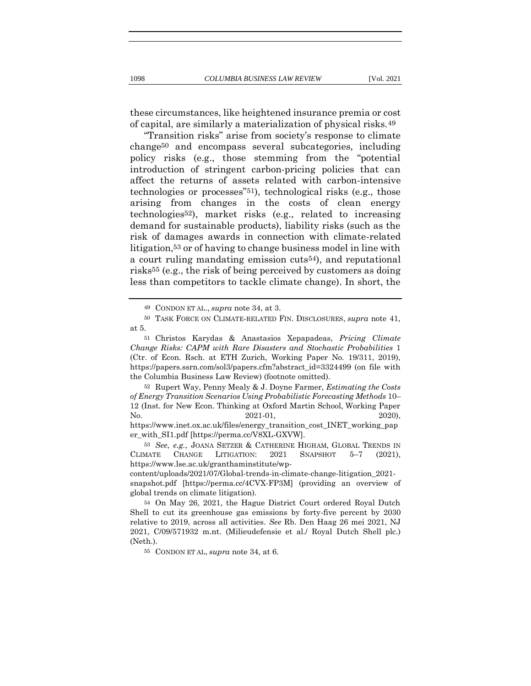these circumstances, like heightened insurance premia or cost of capital, are similarly a materialization of physical risks.49

"Transition risks" arise from society's response to climate change50 and encompass several subcategories, including policy risks (e.g., those stemming from the "potential introduction of stringent carbon-pricing policies that can affect the returns of assets related with carbon-intensive technologies or processes"51), technological risks (e.g., those arising from changes in the costs of clean energy technologies52), market risks (e.g., related to increasing demand for sustainable products), liability risks (such as the risk of damages awards in connection with climate-related litigation,53 or of having to change business model in line with a court ruling mandating emission cuts54), and reputational risks55 (e.g., the risk of being perceived by customers as doing less than competitors to tackle climate change). In short, the

52 Rupert Way, Penny Mealy & J. Doyne Farmer, *Estimating the Costs of Energy Transition Scenarios Using Probabilistic Forecasting Methods* 10– 12 (Inst. for New Econ. Thinking at Oxford Martin School, Working Paper No. 2021-01, 2020.), 2020.

https://www.inet.ox.ac.uk/files/energy\_transition\_cost\_INET\_working\_pap er\_with\_SI1.pdf [https://perma.cc/V8XL-GXVW].

53 *See*, *e.g.*, JOANA SETZER & CATHERINE HIGHAM, GLOBAL TRENDS IN CLIMATE CHANGE LITIGATION: 2021 SNAPSHOT 5–7 (2021), https://www.lse.ac.uk/granthaminstitute/wp-

content/uploads/2021/07/Global-trends-in-climate-change-litigation\_2021-

snapshot.pdf [https://perma.cc/4CVX-FP3M] (providing an overview of global trends on climate litigation).

55 CONDON ET AL, *supra* note 34, at 6.

<sup>49</sup> CONDON ET AL., *supra* note 34, at 3.

<sup>50</sup> TASK FORCE ON CLIMATE-RELATED FIN. DISCLOSURES, *supra* note 41, at 5.

<sup>51</sup> Christos Karydas & Anastasios Xepapadeas, *Pricing Climate Change Risks: CAPM with Rare Disasters and Stochastic Probabilities* 1 (Ctr. of Econ. Rsch. at ETH Zurich, Working Paper No. 19/311, 2019), https://papers.ssrn.com/sol3/papers.cfm?abstract\_id=3324499 (on file with the Columbia Business Law Review) (footnote omitted).

<sup>54</sup> On May 26, 2021, the Hague District Court ordered Royal Dutch Shell to cut its greenhouse gas emissions by forty-five percent by 2030 relative to 2019, across all activities. *See* Rb. Den Haag 26 mei 2021, NJ 2021, C/09/571932 m.nt. (Milieudefensie et al./ Royal Dutch Shell plc.) (Neth.).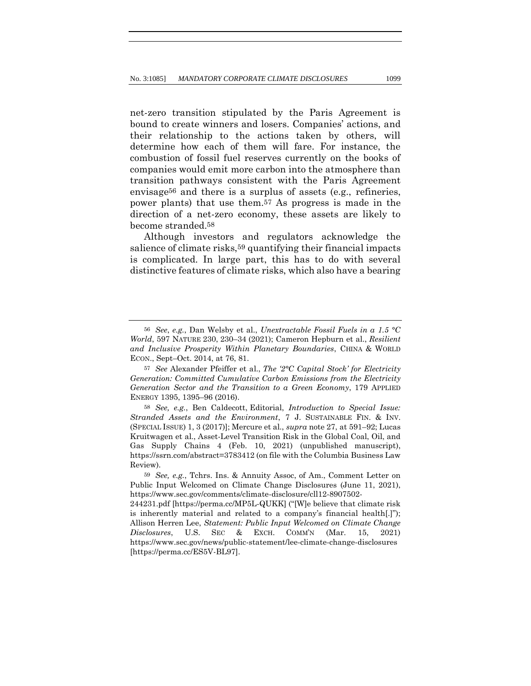net-zero transition stipulated by the Paris Agreement is bound to create winners and losers. Companies' actions, and their relationship to the actions taken by others, will determine how each of them will fare. For instance, the combustion of fossil fuel reserves currently on the books of companies would emit more carbon into the atmosphere than transition pathways consistent with the Paris Agreement envisage56 and there is a surplus of assets (e.g., refineries, power plants) that use them.57 As progress is made in the direction of a net-zero economy, these assets are likely to become stranded.58

Although investors and regulators acknowledge the salience of climate risks,<sup>59</sup> quantifying their financial impacts is complicated. In large part, this has to do with several distinctive features of climate risks, which also have a bearing

<sup>56</sup> *See*, *e.g.*, Dan Welsby et al., *Unextractable Fossil Fuels in a 1.5 °C World*, 597 NATURE 230, 230–34 (2021); Cameron Hepburn et al., *Resilient and Inclusive Prosperity Within Planetary Boundaries*, CHINA & WORLD ECON., Sept–Oct. 2014, at 76, 81.

<sup>57</sup> *See* Alexander Pfeiffer et al., *The '2°C Capital Stock' for Electricity Generation: Committed Cumulative Carbon Emissions from the Electricity Generation Sector and the Transition to a Green Economy*, 179 APPLIED ENERGY 1395, 1395–96 (2016).

<sup>58</sup> *See, e.g.*, Ben Caldecott, Editorial, *Introduction to Special Issue: Stranded Assets and the Environment*, 7 J. SUSTAINABLE FIN. & INV. (SPECIAL ISSUE) 1, 3 (2017)]; Mercure et al., *supra* note 27, at 591–92; Lucas Kruitwagen et al., Asset-Level Transition Risk in the Global Coal, Oil, and Gas Supply Chains 4 (Feb. 10, 2021) (unpublished manuscript), https://ssrn.com/abstract=3783412 (on file with the Columbia Business Law Review).

<sup>59</sup> *See, e.g.*, Tchrs. Ins. & Annuity Assoc, of Am., Comment Letter on Public Input Welcomed on Climate Change Disclosures (June 11, 2021), https://www.sec.gov/comments/climate-disclosure/cll12-8907502-

<sup>244231.</sup>pdf [https://perma.cc/MP5L-QUKK] ("[W]e believe that climate risk is inherently material and related to a company's financial health[.]"); Allison Herren Lee, *Statement: Public Input Welcomed on Climate Change Disclosures*, U.S. SEC & EXCH. COMM'N (Mar. 15, 2021) https://www.sec.gov/news/public-statement/lee-climate-change-disclosures [https://perma.cc/ES5V-BL97].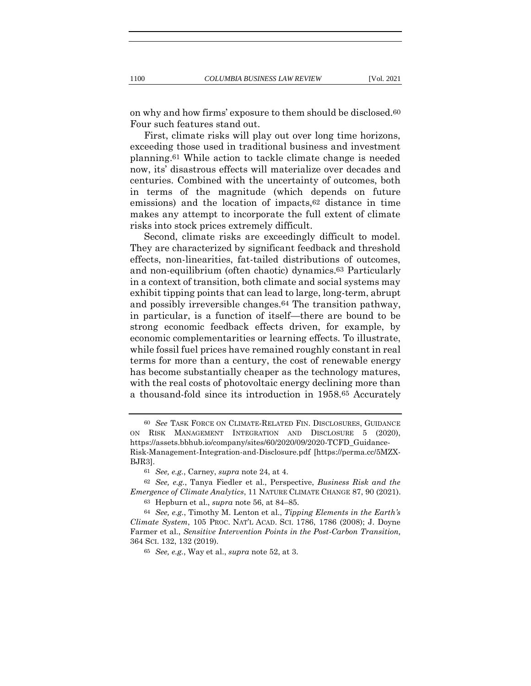on why and how firms' exposure to them should be disclosed.60 Four such features stand out.

First, climate risks will play out over long time horizons, exceeding those used in traditional business and investment planning.61 While action to tackle climate change is needed now, its' disastrous effects will materialize over decades and centuries. Combined with the uncertainty of outcomes, both in terms of the magnitude (which depends on future emissions) and the location of impacts,62 distance in time makes any attempt to incorporate the full extent of climate risks into stock prices extremely difficult.

Second, climate risks are exceedingly difficult to model. They are characterized by significant feedback and threshold effects, non-linearities, fat-tailed distributions of outcomes, and non-equilibrium (often chaotic) dynamics.63 Particularly in a context of transition, both climate and social systems may exhibit tipping points that can lead to large, long-term, abrupt and possibly irreversible changes.64 The transition pathway, in particular, is a function of itself—there are bound to be strong economic feedback effects driven, for example, by economic complementarities or learning effects. To illustrate, while fossil fuel prices have remained roughly constant in real terms for more than a century, the cost of renewable energy has become substantially cheaper as the technology matures, with the real costs of photovoltaic energy declining more than a thousand-fold since its introduction in 1958.65 Accurately

<sup>60</sup> *See* TASK FORCE ON CLIMATE-RELATED FIN. DISCLOSURES, GUIDANCE ON RISK MANAGEMENT INTEGRATION AND DISCLOSURE 5 (2020), https://assets.bbhub.io/company/sites/60/2020/09/2020-TCFD\_Guidance-Risk-Management-Integration-and-Disclosure.pdf [https://perma.cc/5MZX-BJR3].

<sup>61</sup> *See, e.g.*, Carney, *supra* note 24, at 4.

<sup>62</sup> *See, e.g.*, Tanya Fiedler et al., Perspective, *Business Risk and the Emergence of Climate Analytics*, 11 NATURE CLIMATE CHANGE 87, 90 (2021).

<sup>63</sup> Hepburn et al., *supra* note 56, at 84–85.

<sup>64</sup> *See, e.g.*, Timothy M. Lenton et al., *Tipping Elements in the Earth's Climate System*, 105 PROC. NAT'L ACAD. SCI. 1786, 1786 (2008); J. Doyne Farmer et al., *Sensitive Intervention Points in the Post-Carbon Transition,* 364 SCI. 132, 132 (2019).

<sup>65</sup> *See, e.g.*, Way et al., *supra* note 52, at 3.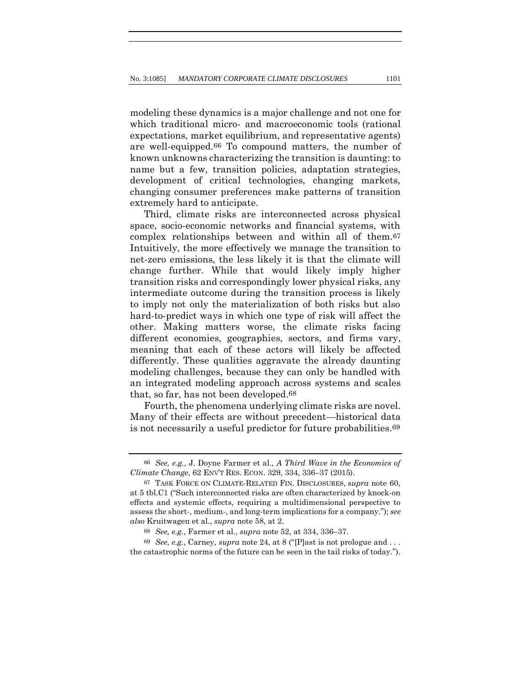modeling these dynamics is a major challenge and not one for which traditional micro- and macroeconomic tools (rational expectations, market equilibrium, and representative agents) are well-equipped.66 To compound matters, the number of known unknowns characterizing the transition is daunting: to name but a few, transition policies, adaptation strategies, development of critical technologies, changing markets, changing consumer preferences make patterns of transition extremely hard to anticipate.

Third, climate risks are interconnected across physical space, socio-economic networks and financial systems, with complex relationships between and within all of them.67 Intuitively, the more effectively we manage the transition to net-zero emissions, the less likely it is that the climate will change further. While that would likely imply higher transition risks and correspondingly lower physical risks, any intermediate outcome during the transition process is likely to imply not only the materialization of both risks but also hard-to-predict ways in which one type of risk will affect the other. Making matters worse, the climate risks facing different economies, geographies, sectors, and firms vary, meaning that each of these actors will likely be affected differently. These qualities aggravate the already daunting modeling challenges, because they can only be handled with an integrated modeling approach across systems and scales that, so far, has not been developed.68

Fourth, the phenomena underlying climate risks are novel. Many of their effects are without precedent—historical data is not necessarily a useful predictor for future probabilities.69

69 *See, e.g.*, Carney, *supra* note 24, at 8 ("[P]ast is not prologue and . . . the catastrophic norms of the future can be seen in the tail risks of today.").

<sup>66</sup> *See, e.g.*, J. Doyne Farmer et al., *A Third Wave in the Economics of Climate Change*, 62 ENV'T RES. ECON. 329, 334, 336–37 (2015).

<sup>67</sup> TASK FORCE ON CLIMATE-RELATED FIN. DISCLOSURES, s*upra* note 60, at 5 tbl.C1 ("Such interconnected risks are often characterized by knock-on effects and systemic effects, requiring a multidimensional perspective to assess the short-, medium-, and long-term implications for a company."); *see also* Kruitwagen et al., *supra* note 58, at 2.

<sup>68</sup> *See, e.g.*, Farmer et al., *supra* note 52, at 334, 336–37.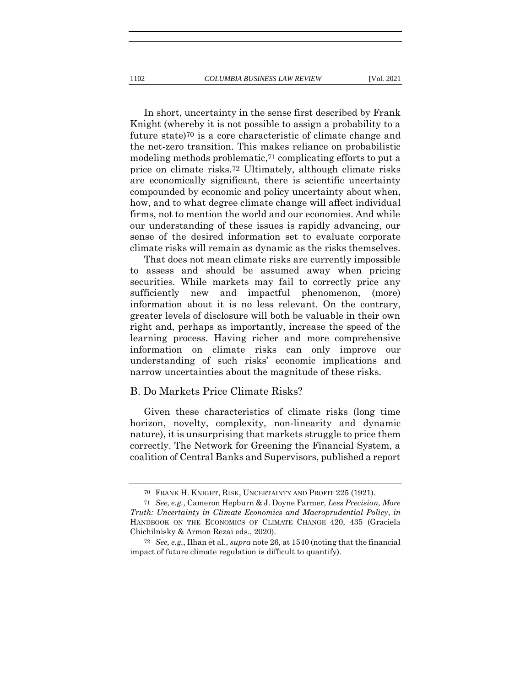In short, uncertainty in the sense first described by Frank Knight (whereby it is not possible to assign a probability to a future state)70 is a core characteristic of climate change and the net-zero transition. This makes reliance on probabilistic modeling methods problematic,71 complicating efforts to put a price on climate risks.72 Ultimately, although climate risks are economically significant, there is scientific uncertainty compounded by economic and policy uncertainty about when, how, and to what degree climate change will affect individual firms, not to mention the world and our economies. And while our understanding of these issues is rapidly advancing, our sense of the desired information set to evaluate corporate climate risks will remain as dynamic as the risks themselves.

That does not mean climate risks are currently impossible to assess and should be assumed away when pricing securities. While markets may fail to correctly price any sufficiently new and impactful phenomenon, (more) information about it is no less relevant. On the contrary, greater levels of disclosure will both be valuable in their own right and, perhaps as importantly, increase the speed of the learning process. Having richer and more comprehensive information on climate risks can only improve our understanding of such risks' economic implications and narrow uncertainties about the magnitude of these risks.

### B. Do Markets Price Climate Risks?

Given these characteristics of climate risks (long time horizon, novelty, complexity, non-linearity and dynamic nature), it is unsurprising that markets struggle to price them correctly. The Network for Greening the Financial System, a coalition of Central Banks and Supervisors, published a report

<sup>70</sup> FRANK H. KNIGHT, RISK, UNCERTAINTY AND PROFIT 225 (1921).

<sup>71</sup> *See, e.g.*, Cameron Hepburn & J. Doyne Farmer, *Less Precision, More Truth: Uncertainty in Climate Economics and Macroprudential Policy*, *in* HANDBOOK ON THE ECONOMICS OF CLIMATE CHANGE 420, 435 (Graciela Chichilnisky & Armon Rezai eds., 2020).

<sup>72</sup> *See, e.g.*, Ilhan et al., *supra* note 26, at 1540 (noting that the financial impact of future climate regulation is difficult to quantify).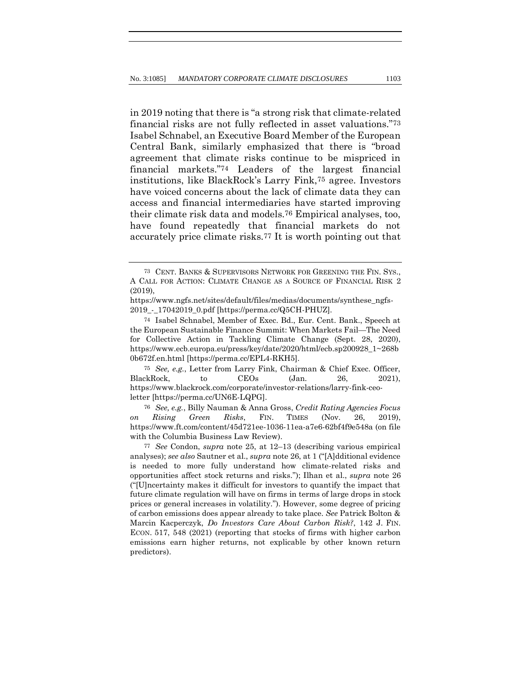in 2019 noting that there is "a strong risk that climate-related financial risks are not fully reflected in asset valuations."73 Isabel Schnabel, an Executive Board Member of the European Central Bank, similarly emphasized that there is "broad agreement that climate risks continue to be mispriced in financial markets."74 Leaders of the largest financial institutions, like BlackRock's Larry Fink,75 agree. Investors have voiced concerns about the lack of climate data they can access and financial intermediaries have started improving their climate risk data and models.76 Empirical analyses, too, have found repeatedly that financial markets do not accurately price climate risks.77 It is worth pointing out that

75 *See, e.g.*, Letter from Larry Fink, Chairman & Chief Exec. Officer, BlackRock, to CEOs (Jan. 26, 2021), https://www.blackrock.com/corporate/investor-relations/larry-fink-ceoletter [https://perma.cc/UN6E-LQPG].

76 *See, e.g.*, Billy Nauman & Anna Gross, *Credit Rating Agencies Focus on Rising Green Risks*, FIN. TIMES (Nov. 26, 2019), https://www.ft.com/content/45d721ee-1036-11ea-a7e6-62bf4f9e548a (on file with the Columbia Business Law Review).

<sup>73</sup> CENT. BANKS & SUPERVISORS NETWORK FOR GREENING THE FIN. SYS., A CALL FOR ACTION: CLIMATE CHANGE AS A SOURCE OF FINANCIAL RISK 2 (2019),

https://www.ngfs.net/sites/default/files/medias/documents/synthese\_ngfs-2019\_-\_17042019\_0.pdf [https://perma.cc/Q5CH-PHUZ].

<sup>74</sup> Isabel Schnabel, Member of Exec. Bd., Eur. Cent. Bank., Speech at the European Sustainable Finance Summit: When Markets Fail—The Need for Collective Action in Tackling Climate Change (Sept. 28, 2020), https://www.ecb.europa.eu/press/key/date/2020/html/ecb.sp200928\_1~268b 0b672f.en.html [https://perma.cc/EPL4-RKH5].

<sup>77</sup> *See* Condon, *supra* note 25, at 12–13 (describing various empirical analyses); *see also* Sautner et al., *supra* note 26, at 1 ("[A]dditional evidence is needed to more fully understand how climate-related risks and opportunities affect stock returns and risks."); Ilhan et al., *supra* note 26 ("[U]ncertainty makes it difficult for investors to quantify the impact that future climate regulation will have on firms in terms of large drops in stock prices or general increases in volatility."). However, some degree of pricing of carbon emissions does appear already to take place. *See* Patrick Bolton & Marcin Kacperczyk, *Do Investors Care About Carbon Risk?*, 142 J. FIN. ECON. 517, 548 (2021) (reporting that stocks of firms with higher carbon emissions earn higher returns, not explicable by other known return predictors).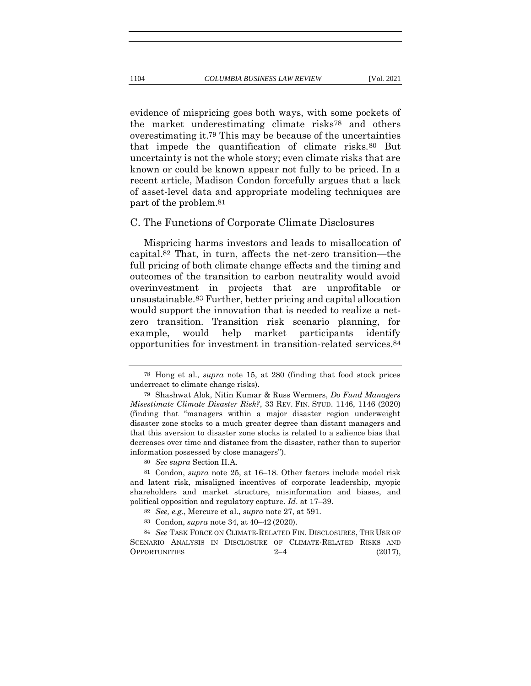evidence of mispricing goes both ways, with some pockets of the market underestimating climate risks78 and others overestimating it.79 This may be because of the uncertainties that impede the quantification of climate risks.80 But uncertainty is not the whole story; even climate risks that are known or could be known appear not fully to be priced. In a recent article, Madison Condon forcefully argues that a lack of asset-level data and appropriate modeling techniques are part of the problem.81

#### C. The Functions of Corporate Climate Disclosures

Mispricing harms investors and leads to misallocation of capital.82 That, in turn, affects the net-zero transition—the full pricing of both climate change effects and the timing and outcomes of the transition to carbon neutrality would avoid overinvestment in projects that are unprofitable or unsustainable.83 Further, better pricing and capital allocation would support the innovation that is needed to realize a netzero transition. Transition risk scenario planning, for example, would help market participants identify opportunities for investment in transition-related services.84

<sup>78</sup> Hong et al., *supra* note 15, at 280 (finding that food stock prices underreact to climate change risks).

<sup>79</sup> Shashwat Alok, Nitin Kumar & Russ Wermers, *Do Fund Managers Misestimate Climate Disaster Risk?*, 33 REV. FIN. STUD. 1146, 1146 (2020) (finding that "managers within a major disaster region underweight disaster zone stocks to a much greater degree than distant managers and that this aversion to disaster zone stocks is related to a salience bias that decreases over time and distance from the disaster, rather than to superior information possessed by close managers").

<sup>80</sup> *See supra* Section II.A.

<sup>81</sup> Condon, *supra* note 25, at 16–18. Other factors include model risk and latent risk, misaligned incentives of corporate leadership, myopic shareholders and market structure, misinformation and biases, and political opposition and regulatory capture. *Id*. at 17–39.

<sup>82</sup> *See, e.g.*, Mercure et al., *supra* note 27, at 591.

<sup>83</sup> Condon, *supra* note 34, at 40–42 (2020).

<sup>84</sup> *See* TASK FORCE ON CLIMATE-RELATED FIN. DISCLOSURES, THE USE OF SCENARIO ANALYSIS IN DISCLOSURE OF CLIMATE-RELATED RISKS AND  $O$ PPORTUNITIES  $2-4$  (2017),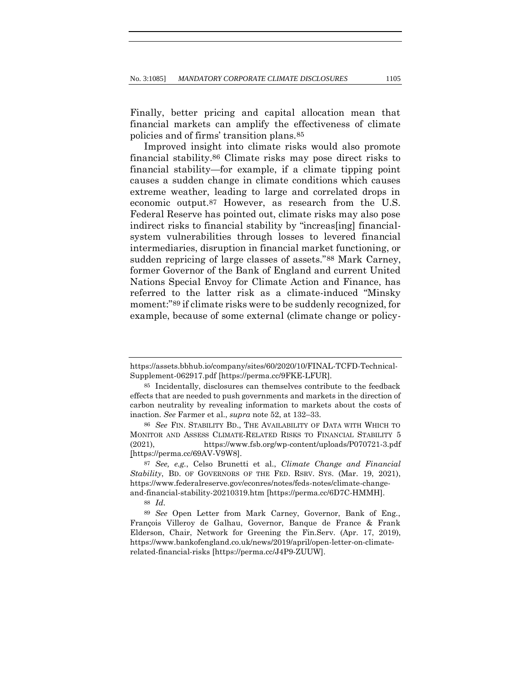Finally, better pricing and capital allocation mean that financial markets can amplify the effectiveness of climate policies and of firms' transition plans.85

Improved insight into climate risks would also promote financial stability.86 Climate risks may pose direct risks to financial stability—for example, if a climate tipping point causes a sudden change in climate conditions which causes extreme weather, leading to large and correlated drops in economic output.87 However, as research from the U.S. Federal Reserve has pointed out, climate risks may also pose indirect risks to financial stability by "increas[ing] financialsystem vulnerabilities through losses to levered financial intermediaries, disruption in financial market functioning, or sudden repricing of large classes of assets."88 Mark Carney, former Governor of the Bank of England and current United Nations Special Envoy for Climate Action and Finance, has referred to the latter risk as a climate-induced "Minsky moment:"89 if climate risks were to be suddenly recognized, for example, because of some external (climate change or policy-

88 *Id*.

https://assets.bbhub.io/company/sites/60/2020/10/FINAL-TCFD-Technical-Supplement-062917.pdf [https://perma.cc/9FKE-LFUR].

<sup>85</sup> Incidentally, disclosures can themselves contribute to the feedback effects that are needed to push governments and markets in the direction of carbon neutrality by revealing information to markets about the costs of inaction. *See* Farmer et al., *supra* note 52, at 132–33.

<sup>86</sup> *See* FIN. STABILITY BD., THE AVAILABILITY OF DATA WITH WHICH TO MONITOR AND ASSESS CLIMATE-RELATED RISKS TO FINANCIAL STABILITY 5 (2021), https://www.fsb.org/wp-content/uploads/P070721-3.pdf [https://perma.cc/69AV-V9W8].

<sup>87</sup> *See, e.g.*, Celso Brunetti et al., *Climate Change and Financial Stability*, BD. OF GOVERNORS OF THE FED. RSRV. SYS. (Mar. 19, 2021), https://www.federalreserve.gov/econres/notes/feds-notes/climate-changeand-financial-stability-20210319.htm [https://perma.cc/6D7C-HMMH].

<sup>89</sup> *See* Open Letter from Mark Carney, Governor, Bank of Eng., François Villeroy de Galhau, Governor, Banque de France & Frank Elderson, Chair, Network for Greening the Fin.Serv. (Apr. 17, 2019), https://www.bankofengland.co.uk/news/2019/april/open-letter-on-climaterelated-financial-risks [https://perma.cc/J4P9-ZUUW].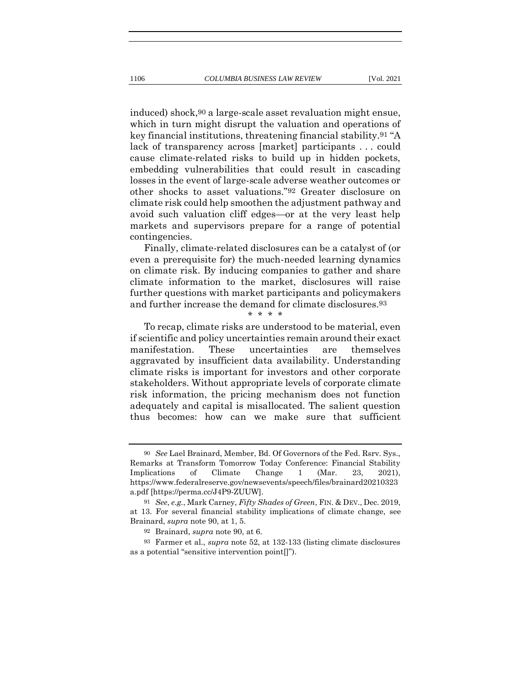induced) shock,90 a large-scale asset revaluation might ensue, which in turn might disrupt the valuation and operations of key financial institutions, threatening financial stability.91 "A lack of transparency across [market] participants . . . could cause climate-related risks to build up in hidden pockets, embedding vulnerabilities that could result in cascading losses in the event of large-scale adverse weather outcomes or other shocks to asset valuations."92 Greater disclosure on climate risk could help smoothen the adjustment pathway and avoid such valuation cliff edges—or at the very least help

contingencies. Finally, climate-related disclosures can be a catalyst of (or even a prerequisite for) the much-needed learning dynamics on climate risk. By inducing companies to gather and share climate information to the market, disclosures will raise further questions with market participants and policymakers and further increase the demand for climate disclosures.93

markets and supervisors prepare for a range of potential

\* \* \* \*

To recap, climate risks are understood to be material, even if scientific and policy uncertainties remain around their exact manifestation. These uncertainties are themselves aggravated by insufficient data availability. Understanding climate risks is important for investors and other corporate stakeholders. Without appropriate levels of corporate climate risk information, the pricing mechanism does not function adequately and capital is misallocated. The salient question thus becomes: how can we make sure that sufficient

<sup>90</sup> *See* Lael Brainard, Member, Bd. Of Governors of the Fed. Rsrv. Sys., Remarks at Transform Tomorrow Today Conference: Financial Stability Implications of Climate Change 1 (Mar. 23, 2021), https://www.federalreserve.gov/newsevents/speech/files/brainard20210323 a.pdf [https://perma.cc/J4P9-ZUUW].

<sup>91</sup> *See*, *e.g.*, Mark Carney, *Fifty Shades of Green*, FIN. & DEV., Dec. 2019, at 13. For several financial stability implications of climate change, see Brainard, *supra* note 90, at 1, 5.

<sup>92</sup> Brainard, *supra* note 90, at 6.

<sup>93</sup> Farmer et al., *supra* note 52, at 132-133 (listing climate disclosures as a potential "sensitive intervention point[]").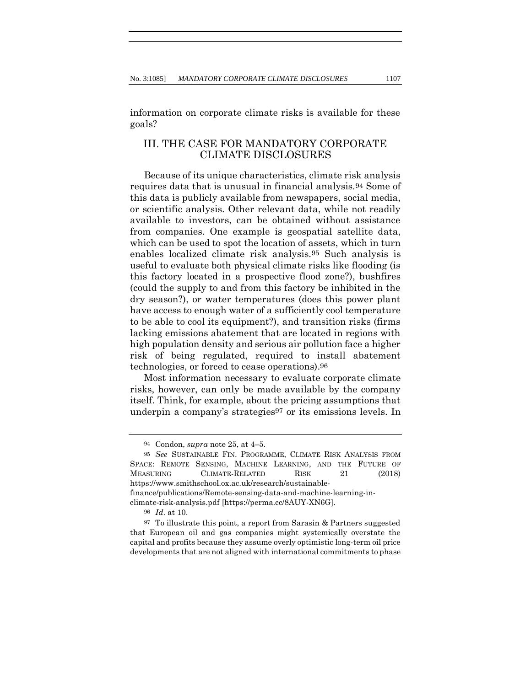information on corporate climate risks is available for these goals?

# III. THE CASE FOR MANDATORY CORPORATE CLIMATE DISCLOSURES

Because of its unique characteristics, climate risk analysis requires data that is unusual in financial analysis.94 Some of this data is publicly available from newspapers, social media, or scientific analysis. Other relevant data, while not readily available to investors, can be obtained without assistance from companies. One example is geospatial satellite data, which can be used to spot the location of assets, which in turn enables localized climate risk analysis.95 Such analysis is useful to evaluate both physical climate risks like flooding (is this factory located in a prospective flood zone?), bushfires (could the supply to and from this factory be inhibited in the dry season?), or water temperatures (does this power plant have access to enough water of a sufficiently cool temperature to be able to cool its equipment?), and transition risks (firms lacking emissions abatement that are located in regions with high population density and serious air pollution face a higher risk of being regulated, required to install abatement technologies, or forced to cease operations).96

Most information necessary to evaluate corporate climate risks, however, can only be made available by the company itself. Think, for example, about the pricing assumptions that underpin a company's strategies<sup>97</sup> or its emissions levels. In

<sup>94</sup> Condon, *supra* note 25, at 4–5.

<sup>95</sup> *See* SUSTAINABLE FIN. PROGRAMME, CLIMATE RISK ANALYSIS FROM SPACE: REMOTE SENSING, MACHINE LEARNING, AND THE FUTURE OF MEASURING CLIMATE-RELATED RISK 21 (2018) https://www.smithschool.ox.ac.uk/research/sustainablefinance/publications/Remote-sensing-data-and-machine-learning-inclimate-risk-analysis.pdf [https://perma.cc/8AUY-XN6G].

<sup>96</sup> *Id*. at 10.

<sup>97</sup> To illustrate this point, a report from Sarasin & Partners suggested that European oil and gas companies might systemically overstate the capital and profits because they assume overly optimistic long-term oil price developments that are not aligned with international commitments to phase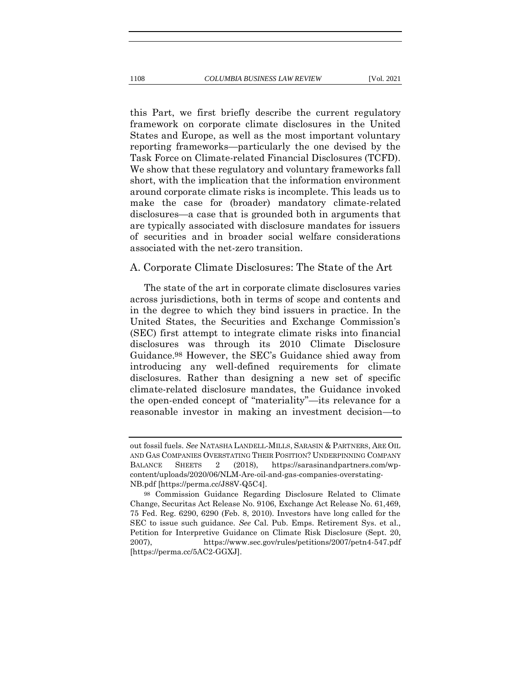this Part, we first briefly describe the current regulatory framework on corporate climate disclosures in the United States and Europe, as well as the most important voluntary reporting frameworks—particularly the one devised by the Task Force on Climate-related Financial Disclosures (TCFD). We show that these regulatory and voluntary frameworks fall short, with the implication that the information environment around corporate climate risks is incomplete. This leads us to make the case for (broader) mandatory climate-related disclosures—a case that is grounded both in arguments that are typically associated with disclosure mandates for issuers of securities and in broader social welfare considerations

### A. Corporate Climate Disclosures: The State of the Art

associated with the net-zero transition.

The state of the art in corporate climate disclosures varies across jurisdictions, both in terms of scope and contents and in the degree to which they bind issuers in practice. In the United States, the Securities and Exchange Commission's (SEC) first attempt to integrate climate risks into financial disclosures was through its 2010 Climate Disclosure Guidance.98 However, the SEC's Guidance shied away from introducing any well-defined requirements for climate disclosures. Rather than designing a new set of specific climate-related disclosure mandates, the Guidance invoked the open-ended concept of "materiality"—its relevance for a reasonable investor in making an investment decision—to

out fossil fuels. *See* NATASHA LANDELL-MILLS, SARASIN & PARTNERS, ARE OIL AND GAS COMPANIES OVERSTATING THEIR POSITION? UNDERPINNING COMPANY BALANCE SHEETS 2 (2018), https://sarasinandpartners.com/wpcontent/uploads/2020/06/NLM-Are-oil-and-gas-companies-overstating-NB.pdf [https://perma.cc/J88V-Q5C4].

<sup>98</sup> Commission Guidance Regarding Disclosure Related to Climate Change, Securitas Act Release No. 9106, Exchange Act Release No. 61,469, 75 Fed. Reg. 6290, 6290 (Feb. 8, 2010). Investors have long called for the SEC to issue such guidance. *See* Cal. Pub. Emps. Retirement Sys. et al., Petition for Interpretive Guidance on Climate Risk Disclosure (Sept. 20, 2007), https://www.sec.gov/rules/petitions/2007/petn4-547.pdf [https://perma.cc/5AC2-GGXJ].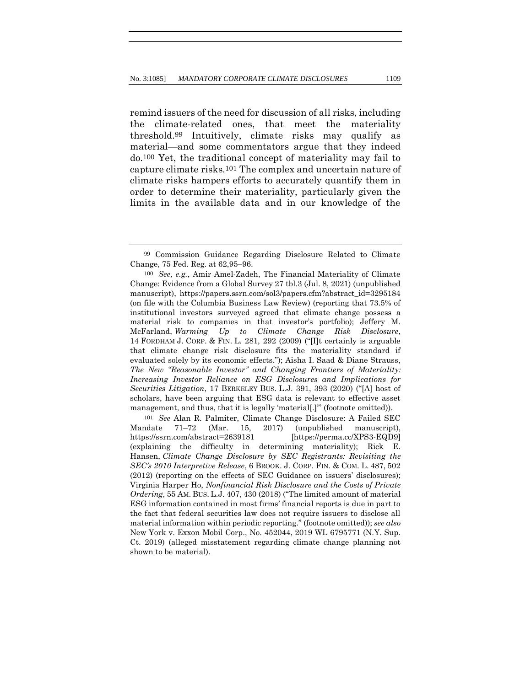remind issuers of the need for discussion of all risks, including the climate-related ones, that meet the materiality threshold.99 Intuitively, climate risks may qualify as material—and some commentators argue that they indeed do.100 Yet, the traditional concept of materiality may fail to capture climate risks.101 The complex and uncertain nature of climate risks hampers efforts to accurately quantify them in order to determine their materiality, particularly given the limits in the available data and in our knowledge of the

101 *See* Alan R. Palmiter, Climate Change Disclosure: A Failed SEC Mandate 71–72 (Mar. 15, 2017) (unpublished manuscript), https://ssrn.com/abstract=2639181 [https://perma.cc/XPS3-EQD9] (explaining the difficulty in determining materiality); Rick E. Hansen, *Climate Change Disclosure by SEC Registrants: Revisiting the SEC's 2010 Interpretive Release*, 6 BROOK. J. CORP. FIN. & COM. L. 487, 502 (2012) (reporting on the effects of SEC Guidance on issuers' disclosures); Virginia Harper Ho, *Nonfinancial Risk Disclosure and the Costs of Private Ordering*, 55 AM. BUS. L.J. 407, 430 (2018) ("The limited amount of material ESG information contained in most firms' financial reports is due in part to the fact that federal securities law does not require issuers to disclose all material information within periodic reporting." (footnote omitted)); *see also* New York v. Exxon Mobil Corp., No. 452044, 2019 WL 6795771 (N.Y. Sup. Ct. 2019) (alleged misstatement regarding climate change planning not shown to be material).

<sup>99</sup> Commission Guidance Regarding Disclosure Related to Climate Change, 75 Fed. Reg. at 62,95–96.

<sup>100</sup> *See, e.g.*, Amir Amel-Zadeh, The Financial Materiality of Climate Change: Evidence from a Global Survey 27 tbl.3 (Jul. 8, 2021) (unpublished manuscript), https://papers.ssrn.com/sol3/papers.cfm?abstract\_id=3295184 (on file with the Columbia Business Law Review) (reporting that 73.5% of institutional investors surveyed agreed that climate change possess a material risk to companies in that investor's portfolio); Jeffery M. McFarland, *Warming Up to Climate Change Risk Disclosure*, 14 FORDHAM J. CORP. & FIN. L. 281, 292 (2009) ("[I]t certainly is arguable that climate change risk disclosure fits the materiality standard if evaluated solely by its economic effects."); Aisha I. Saad & Diane Strauss, *The New "Reasonable Investor" and Changing Frontiers of Materiality: Increasing Investor Reliance on ESG Disclosures and Implications for Securities Litigation*, 17 BERKELEY BUS. L.J. 391, 393 (2020) ("[A] host of scholars, have been arguing that ESG data is relevant to effective asset management, and thus, that it is legally 'material[.]" (footnote omitted)).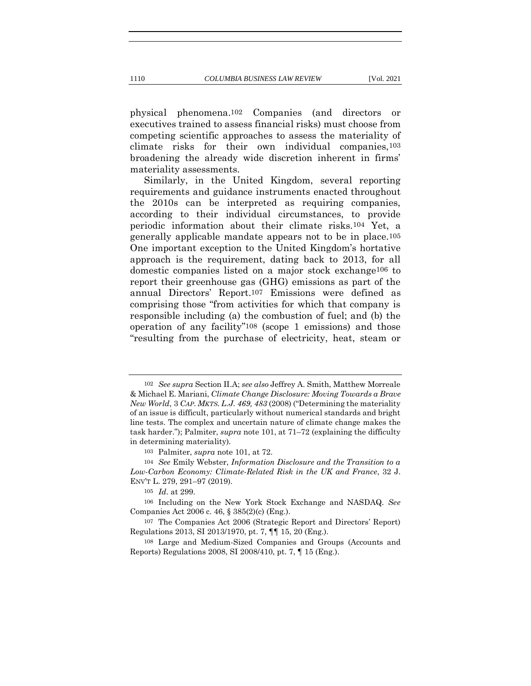physical phenomena.102 Companies (and directors or executives trained to assess financial risks) must choose from competing scientific approaches to assess the materiality of climate risks for their own individual companies,103 broadening the already wide discretion inherent in firms' materiality assessments.

Similarly, in the United Kingdom, several reporting requirements and guidance instruments enacted throughout the 2010s can be interpreted as requiring companies, according to their individual circumstances, to provide periodic information about their climate risks.104 Yet, a generally applicable mandate appears not to be in place.105 One important exception to the United Kingdom's hortative approach is the requirement, dating back to 2013, for all domestic companies listed on a major stock exchange106 to report their greenhouse gas (GHG) emissions as part of the annual Directors' Report.107 Emissions were defined as comprising those "from activities for which that company is responsible including (a) the combustion of fuel; and (b) the operation of any facility"108 (scope 1 emissions) and those "resulting from the purchase of electricity, heat, steam or

<sup>102</sup> *See supra* Section II.A; *see also* Jeffrey A. Smith, Matthew Morreale & Michael E. Mariani, *Climate Change Disclosure: Moving Towards a Brave New World*, 3 *CAP. MKTS.L.J. 469, 483* (2008) ("Determining the materiality of an issue is difficult, particularly without numerical standards and bright line tests. The complex and uncertain nature of climate change makes the task harder."); Palmiter, *supra* note 101, at 71–72 (explaining the difficulty in determining materiality)*.*

<sup>103</sup> Palmiter, *supra* note 101, at 72.

<sup>104</sup> *See* Emily Webster, *Information Disclosure and the Transition to a Low-Carbon Economy: Climate-Related Risk in the UK and France*, 32 J. ENV'T L. 279, 291–97 (2019).

<sup>105</sup> *Id*. at 299.

<sup>106</sup> Including on the New York Stock Exchange and NASDAQ. *See* Companies Act 2006 c. 46, § 385(2)(c) (Eng.).

<sup>107</sup> The Companies Act 2006 (Strategic Report and Directors' Report) Regulations 2013, SI 2013/1970, pt. 7, ¶¶ 15, 20 (Eng.).

<sup>108</sup> Large and Medium-Sized Companies and Groups (Accounts and Reports) Regulations 2008, SI 2008/410, pt. 7, ¶ 15 (Eng.).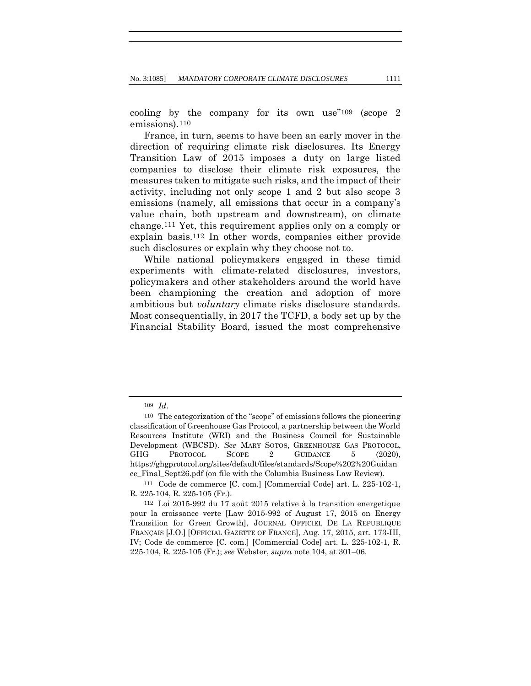cooling by the company for its own use"109 (scope 2 emissions).110

France, in turn, seems to have been an early mover in the direction of requiring climate risk disclosures. Its Energy Transition Law of 2015 imposes a duty on large listed companies to disclose their climate risk exposures, the measures taken to mitigate such risks, and the impact of their activity, including not only scope 1 and 2 but also scope 3 emissions (namely, all emissions that occur in a company's value chain, both upstream and downstream), on climate change.111 Yet, this requirement applies only on a comply or explain basis.112 In other words, companies either provide such disclosures or explain why they choose not to.

While national policymakers engaged in these timid experiments with climate-related disclosures, investors, policymakers and other stakeholders around the world have been championing the creation and adoption of more ambitious but *voluntary* climate risks disclosure standards. Most consequentially, in 2017 the TCFD, a body set up by the Financial Stability Board, issued the most comprehensive

<sup>109</sup> *Id*.

<sup>110</sup> The categorization of the "scope" of emissions follows the pioneering classification of Greenhouse Gas Protocol, a partnership between the World Resources Institute (WRI) and the Business Council for Sustainable Development (WBCSD). *See* MARY SOTOS, GREENHOUSE GAS PROTOCOL, GHG PROTOCOL SCOPE 2 GUIDANCE 5 (2020). https://ghgprotocol.org/sites/default/files/standards/Scope%202%20Guidan ce\_Final\_Sept26.pdf (on file with the Columbia Business Law Review).

<sup>111</sup> Code de commerce [C. com.] [Commercial Code] art. L. 225-102-1, R. 225-104, R. 225-105 (Fr.).

<sup>112</sup> Loi 2015-992 du 17 août 2015 relative à la transition energetique pour la croissance verte [Law 2015-992 of August 17, 2015 on Energy Transition for Green Growth], JOURNAL OFFICIEL DE LA REPUBLIQUE FRANÇAIS [J.O.] [OFFICIAL GAZETTE OF FRANCE], Aug. 17, 2015, art. 173-III, IV; Code de commerce [C. com.] [Commercial Code] art. L. 225-102-1, R. 225-104, R. 225-105 (Fr.); *see* Webster, *supra* note 104, at 301–06.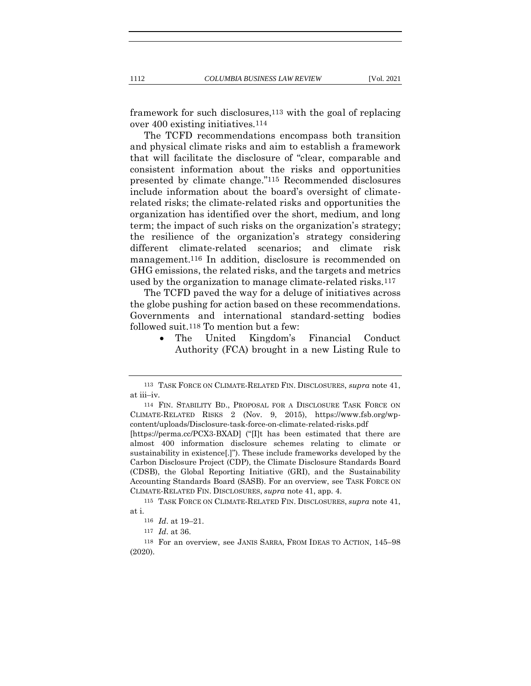framework for such disclosures,113 with the goal of replacing over 400 existing initiatives.114

The TCFD recommendations encompass both transition and physical climate risks and aim to establish a framework that will facilitate the disclosure of "clear, comparable and consistent information about the risks and opportunities presented by climate change."115 Recommended disclosures include information about the board's oversight of climaterelated risks; the climate-related risks and opportunities the organization has identified over the short, medium, and long term; the impact of such risks on the organization's strategy; the resilience of the organization's strategy considering different climate-related scenarios; and climate risk management.116 In addition, disclosure is recommended on GHG emissions, the related risks, and the targets and metrics used by the organization to manage climate-related risks.117

The TCFD paved the way for a deluge of initiatives across the globe pushing for action based on these recommendations. Governments and international standard-setting bodies followed suit.118 To mention but a few:

> • The United Kingdom's Financial Conduct Authority (FCA) brought in a new Listing Rule to

<sup>113</sup> TASK FORCE ON CLIMATE-RELATED FIN. DISCLOSURES, *supra* note 41, at iii–iv.

<sup>114</sup> FIN. STABILITY BD., PROPOSAL FOR A DISCLOSURE TASK FORCE ON CLIMATE-RELATED RISKS 2 (Nov. 9, 2015), https://www.fsb.org/wpcontent/uploads/Disclosure-task-force-on-climate-related-risks.pdf

<sup>[</sup>https://perma.cc/PCX3-BXAD] ("[I]t has been estimated that there are almost 400 information disclosure schemes relating to climate or sustainability in existence[.]"). These include frameworks developed by the Carbon Disclosure Project (CDP), the Climate Disclosure Standards Board (CDSB), the Global Reporting Initiative (GRI), and the Sustainability Accounting Standards Board (SASB). For an overview, see TASK FORCE ON CLIMATE-RELATED FIN. DISCLOSURES, *supra* note 41, app. 4.

<sup>115</sup> TASK FORCE ON CLIMATE-RELATED FIN. DISCLOSURES, *supra* note 41, at i.

<sup>116</sup> *Id*. at 19–21.

<sup>117</sup> *Id*. at 36.

<sup>118</sup> For an overview, see JANIS SARRA, FROM IDEAS TO ACTION, 145–98 (2020).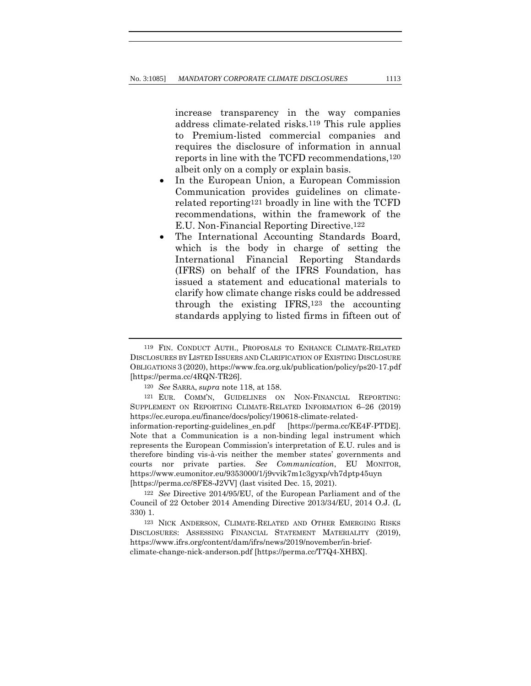increase transparency in the way companies address climate-related risks.119 This rule applies to Premium-listed commercial companies and requires the disclosure of information in annual reports in line with the TCFD recommendations,120 albeit only on a comply or explain basis.

- In the European Union, a European Commission Communication provides guidelines on climaterelated reporting121 broadly in line with the TCFD recommendations, within the framework of the E.U. Non-Financial Reporting Directive.122
- The International Accounting Standards Board, which is the body in charge of setting the International Financial Reporting Standards (IFRS) on behalf of the IFRS Foundation, has issued a statement and educational materials to clarify how climate change risks could be addressed through the existing IFRS, $123$  the accounting standards applying to listed firms in fifteen out of

<sup>119</sup> FIN. CONDUCT AUTH., PROPOSALS TO ENHANCE CLIMATE-RELATED DISCLOSURES BY LISTED ISSUERS AND CLARIFICATION OF EXISTING DISCLOSURE OBLIGATIONS 3 (2020), https://www.fca.org.uk/publication/policy/ps20-17.pdf [https://perma.cc/4RQN-TR26].

<sup>120</sup> *See* SARRA, *supra* note 118, at 158.

<sup>121</sup> EUR. COMM'N, GUIDELINES ON NON-FINANCIAL REPORTING: SUPPLEMENT ON REPORTING CLIMATE-RELATED INFORMATION 6–26 (2019) https://ec.europa.eu/finance/docs/policy/190618-climate-relatedinformation-reporting-guidelines\_en.pdf [https://perma.cc/KE4F-PTDE]. Note that a Communication is a non-binding legal instrument which represents the European Commission's interpretation of E.U. rules and is therefore binding vis-à-vis neither the member states' governments and courts nor private parties. *See Communication*, EU MONITOR, https://www.eumonitor.eu/9353000/1/j9vvik7m1c3gyxp/vh7dptp45uyn [https://perma.cc/8FE8-J2VV] (last visited Dec. 15, 2021).

<sup>122</sup> *See* Directive 2014/95/EU, of the European Parliament and of the Council of 22 October 2014 Amending Directive 2013/34/EU, 2014 O.J. (L 330) 1.

<sup>123</sup> NICK ANDERSON, CLIMATE-RELATED AND OTHER EMERGING RISKS DISCLOSURES: ASSESSING FINANCIAL STATEMENT MATERIALITY (2019), https://www.ifrs.org/content/dam/ifrs/news/2019/november/in-briefclimate-change-nick-anderson.pdf [https://perma.cc/T7Q4-XHBX].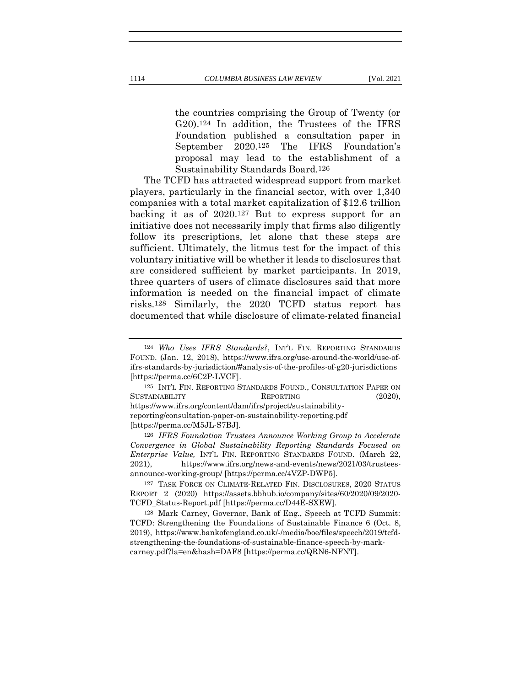the countries comprising the Group of Twenty (or G20).124 In addition, the Trustees of the IFRS Foundation published a consultation paper in September 2020.125 The IFRS Foundation's proposal may lead to the establishment of a Sustainability Standards Board.126

The TCFD has attracted widespread support from market players, particularly in the financial sector, with over 1,340 companies with a total market capitalization of \$12.6 trillion backing it as of 2020.127 But to express support for an initiative does not necessarily imply that firms also diligently follow its prescriptions, let alone that these steps are sufficient. Ultimately, the litmus test for the impact of this voluntary initiative will be whether it leads to disclosures that are considered sufficient by market participants. In 2019, three quarters of users of climate disclosures said that more information is needed on the financial impact of climate risks.128 Similarly, the 2020 TCFD status report has documented that while disclosure of climate-related financial

126 *IFRS Foundation Trustees Announce Working Group to Accelerate Convergence in Global Sustainability Reporting Standards Focused on Enterprise Value,* INT'L FIN. REPORTING STANDARDS FOUND. (March 22, 2021), https://www.ifrs.org/news-and-events/news/2021/03/trusteesannounce-working-group/ [https://perma.cc/4VZP-DWP5].

<sup>124</sup> *Who Uses IFRS Standards?*, INT'L FIN. REPORTING STANDARDS FOUND. (Jan. 12, 2018), https://www.ifrs.org/use-around-the-world/use-ofifrs-standards-by-jurisdiction/#analysis-of-the-profiles-of-g20-jurisdictions [https://perma.cc/6C2P-LVCF].

<sup>125</sup> INT'L FIN. REPORTING STANDARDS FOUND., CONSULTATION PAPER ON SUSTAINABILITY REPORTING (2020), https://www.ifrs.org/content/dam/ifrs/project/sustainabilityreporting/consultation-paper-on-sustainability-reporting.pdf [https://perma.cc/M5JL-S7BJ].

<sup>127</sup> TASK FORCE ON CLIMATE-RELATED FIN. DISCLOSURES, 2020 STATUS REPORT 2 (2020) https://assets.bbhub.io/company/sites/60/2020/09/2020- TCFD\_Status-Report.pdf [https://perma.cc/D44E-SXEW].

<sup>128</sup> Mark Carney, Governor, Bank of Eng., Speech at TCFD Summit: TCFD: Strengthening the Foundations of Sustainable Finance 6 (Oct. 8, 2019), https://www.bankofengland.co.uk/-/media/boe/files/speech/2019/tcfdstrengthening-the-foundations-of-sustainable-finance-speech-by-markcarney.pdf?la=en&hash=DAF8 [https://perma.cc/QRN6-NFNT].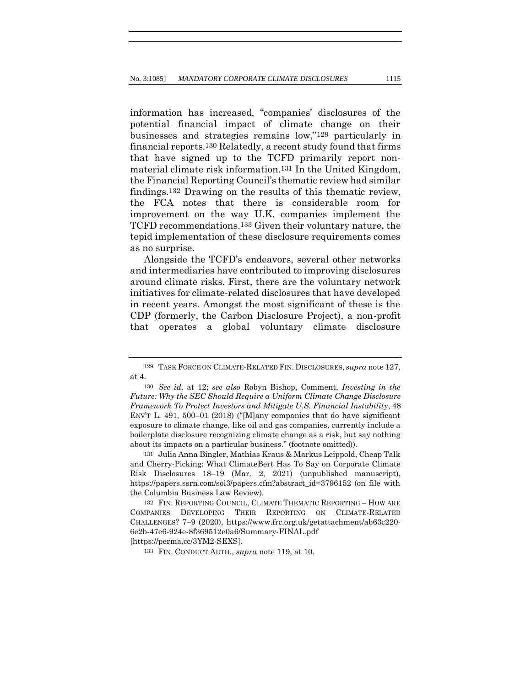information has increased, "companies' disclosures of the potential financial impact of climate change on their businesses and strategies remains low,"129 particularly in financial reports.130 Relatedly, a recent study found that firms that have signed up to the TCFD primarily report nonmaterial climate risk information.131 In the United Kingdom, the Financial Reporting Council's thematic review had similar findings.132 Drawing on the results of this thematic review, the FCA notes that there is considerable room for improvement on the way U.K. companies implement the TCFD recommendations.133 Given their voluntary nature, the tepid implementation of these disclosure requirements comes as no surprise.

Alongside the TCFD's endeavors, several other networks and intermediaries have contributed to improving disclosures around climate risks. First, there are the voluntary network initiatives for climate-related disclosures that have developed in recent years. Amongst the most significant of these is the CDP (formerly, the Carbon Disclosure Project), a non-profit that operates a global voluntary climate disclosure

131 Julia Anna Bingler, Mathias Kraus & Markus Leippold, Cheap Talk and Cherry-Picking: What ClimateBert Has To Say on Corporate Climate Risk Disclosures 18–19 (Mar. 2, 2021) (unpublished manuscript), https://papers.ssrn.com/sol3/papers.cfm?abstract\_id=3796152 (on file with the Columbia Business Law Review).

132 FIN. REPORTING COUNCIL, CLIMATE THEMATIC REPORTING – HOW ARE COMPANIES DEVELOPING THEIR REPORTING ON CLIMATE-RELATED CHALLENGES? 7–9 (2020), https://www.frc.org.uk/getattachment/ab63c220- 6e2b-47e6-924e-8f369512e0a6/Summary-FINAL.pdf [https://perma.cc/3YM2-SEXS].

133 FIN. CONDUCT AUTH., *supra* note 119, at 10.

<sup>129</sup> TASK FORCE ON CLIMATE-RELATED FIN. DISCLOSURES, *supra* note 127, at 4.

<sup>130</sup> *See id*. at 12; *see also* Robyn Bishop, Comment, *Investing in the Future: Why the SEC Should Require a Uniform Climate Change Disclosure Framework To Protect Investors and Mitigate U.S. Financial Instability*, 48 ENV'T L. 491, 500–01 (2018) ("[M]any companies that do have significant exposure to climate change, like oil and gas companies, currently include a boilerplate disclosure recognizing climate change as a risk, but say nothing about its impacts on a particular business." (footnote omitted)).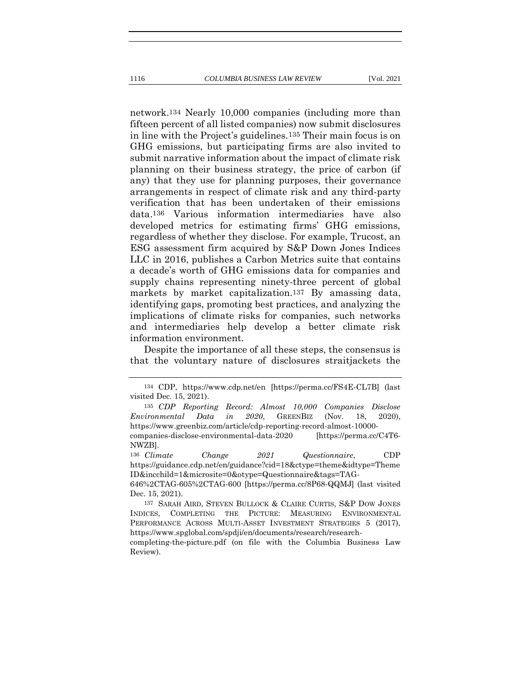network.134 Nearly 10,000 companies (including more than fifteen percent of all listed companies) now submit disclosures in line with the Project's guidelines.135 Their main focus is on GHG emissions, but participating firms are also invited to submit narrative information about the impact of climate risk planning on their business strategy, the price of carbon (if any) that they use for planning purposes, their governance arrangements in respect of climate risk and any third-party verification that has been undertaken of their emissions data.136 Various information intermediaries have also developed metrics for estimating firms' GHG emissions, regardless of whether they disclose. For example, Trucost, an ESG assessment firm acquired by S&P Down Jones Indices LLC in 2016, publishes a Carbon Metrics suite that contains a decade's worth of GHG emissions data for companies and

supply chains representing ninety-three percent of global markets by market capitalization.137 By amassing data, identifying gaps, promoting best practices, and analyzing the implications of climate risks for companies, such networks and intermediaries help develop a better climate risk information environment.

Despite the importance of all these steps, the consensus is that the voluntary nature of disclosures straitjackets the

136 *Climate Change 2021 Questionnaire*, CDP https://guidance.cdp.net/en/guidance?cid=18&ctype=theme&idtype=Theme ID&incchild=1&microsite=0&otype=Questionnaire&tags=TAG-

646%2CTAG-605%2CTAG-600 [https://perma.cc/8P68-QQMJ] (last visited Dec. 15, 2021).

<sup>134</sup> CDP, https://www.cdp.net/en [https://perma.cc/FS4E-CL7B] (last visited Dec. 15, 2021).

<sup>135</sup> *CDP Reporting Record: Almost 10,000 Companies Disclose Environmental Data in 2020*, GREENBIZ (Nov. 18, 2020), https://www.greenbiz.com/article/cdp-reporting-record-almost-10000 companies-disclose-environmental-data-2020 [https://perma.cc/C4T6- NWZB].

<sup>137</sup> SARAH AIRD, STEVEN BULLOCK & CLAIRE CURTIS, S&P DOW JONES INDICES, COMPLETING THE PICTURE: MEASURING ENVIRONMENTAL PERFORMANCE ACROSS MULTI-ASSET INVESTMENT STRATEGIES 5 (2017), https://www.spglobal.com/spdji/en/documents/research/research-

completing-the-picture.pdf (on file with the Columbia Business Law Review).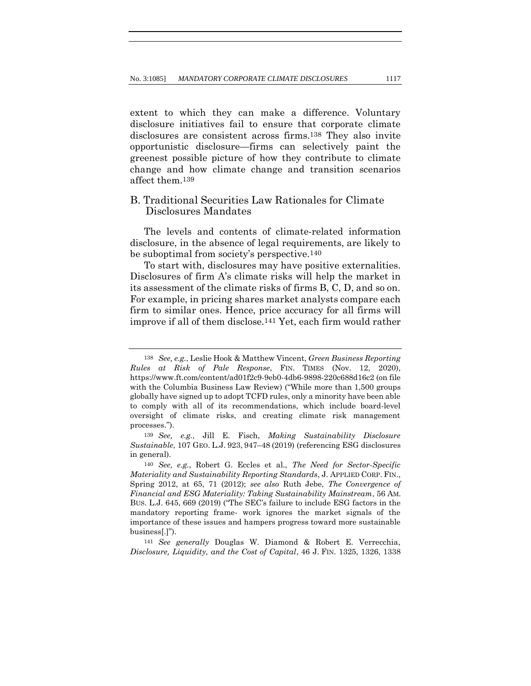extent to which they can make a difference. Voluntary disclosure initiatives fail to ensure that corporate climate disclosures are consistent across firms.138 They also invite opportunistic disclosure—firms can selectively paint the greenest possible picture of how they contribute to climate change and how climate change and transition scenarios affect them.139

# B. Traditional Securities Law Rationales for Climate Disclosures Mandates

The levels and contents of climate-related information disclosure, in the absence of legal requirements, are likely to be suboptimal from society's perspective.140

To start with, disclosures may have positive externalities. Disclosures of firm A's climate risks will help the market in its assessment of the climate risks of firms B, C, D, and so on. For example, in pricing shares market analysts compare each firm to similar ones. Hence, price accuracy for all firms will improve if all of them disclose.141 Yet, each firm would rather

141 *See generally* Douglas W. Diamond & Robert E. Verrecchia, *Disclosure, Liquidity, and the Cost of Capital*, 46 J. FIN. 1325, 1326, 1338

<sup>138</sup> *See, e.g.*, Leslie Hook & Matthew Vincent, *Green Business Reporting Rules at Risk of Pale Response*, FIN. TIMES (Nov. 12, 2020), https://www.ft.com/content/ad01f2c9-9eb0-4db6-9898-220c688d16c2 (on file with the Columbia Business Law Review) ("While more than 1,500 groups globally have signed up to adopt TCFD rules, only a minority have been able to comply with all of its recommendations, which include board-level oversight of climate risks, and creating climate risk management processes.").

<sup>139</sup> *See, e.g.*, Jill E. Fisch, *Making Sustainability Disclosure Sustainable*, 107 GEO. L.J. 923, 947–48 (2019) (referencing ESG disclosures in general).

<sup>140</sup> *See, e.g.*, Robert G. Eccles et al., *The Need for Sector-Specific Materiality and Sustainability Reporting Standards*, J. APPLIED CORP. FIN., Spring 2012, at 65, 71 (2012); *see also* Ruth Jebe, *The Convergence of Financial and ESG Materiality: Taking Sustainability Mainstream*, 56 AM. BUS. L.J. 645, 669 (2019) ("The SEC's failure to include ESG factors in the mandatory reporting frame- work ignores the market signals of the importance of these issues and hampers progress toward more sustainable business[.]").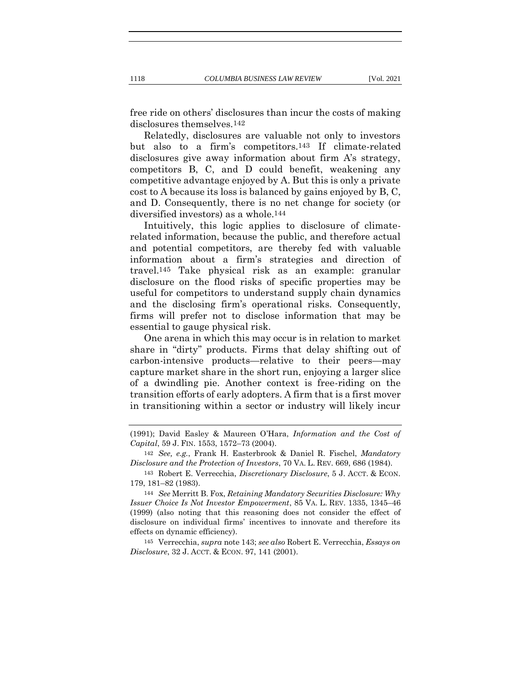free ride on others' disclosures than incur the costs of making disclosures themselves.142

Relatedly, disclosures are valuable not only to investors but also to a firm's competitors.143 If climate-related disclosures give away information about firm A's strategy, competitors B, C, and D could benefit, weakening any competitive advantage enjoyed by A. But this is only a private cost to A because its loss is balanced by gains enjoyed by B, C, and D. Consequently, there is no net change for society (or diversified investors) as a whole.144

Intuitively, this logic applies to disclosure of climaterelated information, because the public, and therefore actual and potential competitors, are thereby fed with valuable information about a firm's strategies and direction of travel.145 Take physical risk as an example: granular disclosure on the flood risks of specific properties may be useful for competitors to understand supply chain dynamics and the disclosing firm's operational risks. Consequently, firms will prefer not to disclose information that may be essential to gauge physical risk.

One arena in which this may occur is in relation to market share in "dirty" products. Firms that delay shifting out of carbon-intensive products—relative to their peers—may capture market share in the short run, enjoying a larger slice of a dwindling pie. Another context is free-riding on the transition efforts of early adopters. A firm that is a first mover in transitioning within a sector or industry will likely incur

145 Verrecchia, *supra* note 143; *see also* Robert E. Verrecchia, *Essays on Disclosure*, 32 J. ACCT. & ECON. 97, 141 (2001).

<sup>(1991);</sup> David Easley & Maureen O'Hara, *Information and the Cost of Capital*, 59 J. FIN. 1553, 1572–73 (2004).

<sup>142</sup> *See, e.g.*, Frank H. Easterbrook & Daniel R. Fischel, *Mandatory Disclosure and the Protection of Investors*, 70 VA. L. REV. 669, 686 (1984).

<sup>143</sup> Robert E. Verrecchia, *Discretionary Disclosure*, 5 J. ACCT. & ECON. 179, 181–82 (1983).

<sup>144</sup> *See* Merritt B. Fox, *Retaining Mandatory Securities Disclosure: Why Issuer Choice Is Not Investor Empowerment*, 85 VA. L. REV. 1335, 1345–46 (1999) (also noting that this reasoning does not consider the effect of disclosure on individual firms' incentives to innovate and therefore its effects on dynamic efficiency).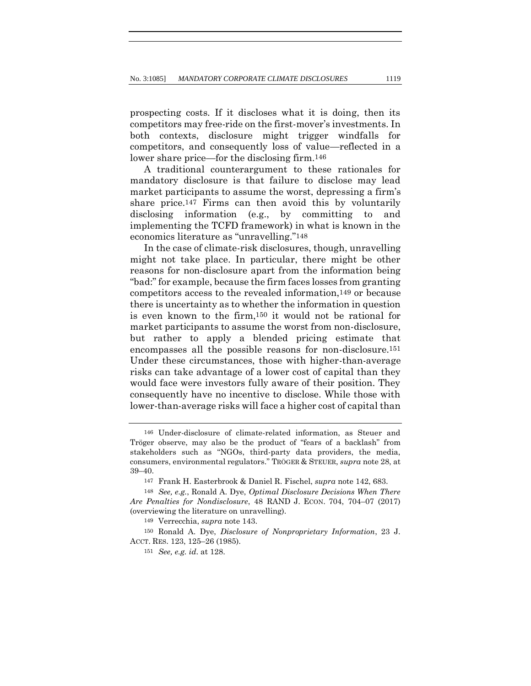prospecting costs. If it discloses what it is doing, then its competitors may free-ride on the first-mover's investments. In both contexts, disclosure might trigger windfalls for competitors, and consequently loss of value—reflected in a lower share price—for the disclosing firm.146

A traditional counterargument to these rationales for mandatory disclosure is that failure to disclose may lead market participants to assume the worst, depressing a firm's share price.147 Firms can then avoid this by voluntarily disclosing information (e.g., by committing to and implementing the TCFD framework) in what is known in the economics literature as "unravelling."148

In the case of climate-risk disclosures, though, unravelling might not take place. In particular, there might be other reasons for non-disclosure apart from the information being "bad:" for example, because the firm faces losses from granting competitors access to the revealed information,149 or because there is uncertainty as to whether the information in question is even known to the firm,150 it would not be rational for market participants to assume the worst from non-disclosure, but rather to apply a blended pricing estimate that encompasses all the possible reasons for non-disclosure.151 Under these circumstances, those with higher-than-average risks can take advantage of a lower cost of capital than they would face were investors fully aware of their position. They consequently have no incentive to disclose. While those with lower-than-average risks will face a higher cost of capital than

<sup>146</sup> Under-disclosure of climate-related information, as Steuer and Tröger observe, may also be the product of "fears of a backlash" from stakeholders such as "NGOs, third-party data providers, the media, consumers, environmental regulators." TRÖGER & STEUER, *supra* note 28, at 39–40.

<sup>147</sup> Frank H. Easterbrook & Daniel R. Fischel, *supra* note 142, 683.

<sup>148</sup> *See, e.g.*, Ronald A. Dye, *Optimal Disclosure Decisions When There Are Penalties for Nondisclosure*, 48 RAND J. ECON. 704, 704–07 (2017) (overviewing the literature on unravelling).

<sup>149</sup> Verrecchia, *supra* note 143.

<sup>150</sup> Ronald A. Dye, *Disclosure of Nonproprietary Information*, 23 J. ACCT. RES. 123, 125–26 (1985).

<sup>151</sup> *See, e.g. id*. at 128.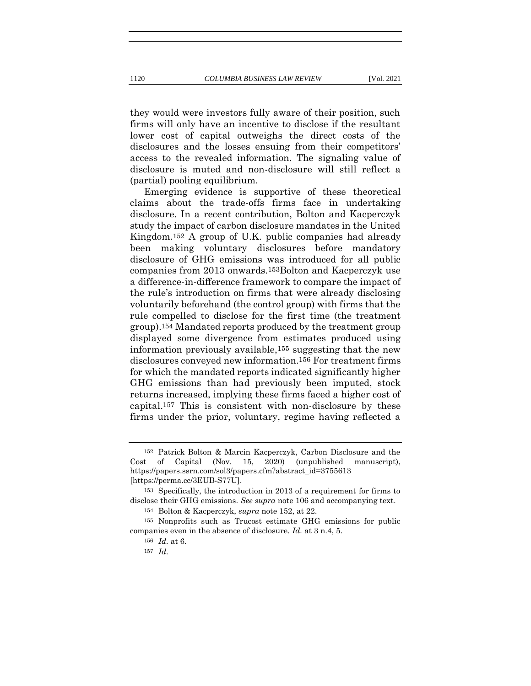they would were investors fully aware of their position, such firms will only have an incentive to disclose if the resultant lower cost of capital outweighs the direct costs of the disclosures and the losses ensuing from their competitors' access to the revealed information. The signaling value of disclosure is muted and non-disclosure will still reflect a (partial) pooling equilibrium.

Emerging evidence is supportive of these theoretical claims about the trade-offs firms face in undertaking disclosure. In a recent contribution, Bolton and Kacperczyk study the impact of carbon disclosure mandates in the United Kingdom.152 A group of U.K. public companies had already been making voluntary disclosures before mandatory disclosure of GHG emissions was introduced for all public companies from 2013 onwards.153Bolton and Kacperczyk use a difference-in-difference framework to compare the impact of the rule's introduction on firms that were already disclosing voluntarily beforehand (the control group) with firms that the rule compelled to disclose for the first time (the treatment group).154 Mandated reports produced by the treatment group displayed some divergence from estimates produced using information previously available,155 suggesting that the new disclosures conveyed new information.156 For treatment firms for which the mandated reports indicated significantly higher GHG emissions than had previously been imputed, stock returns increased, implying these firms faced a higher cost of capital.157 This is consistent with non-disclosure by these firms under the prior, voluntary, regime having reflected a

<sup>152</sup> Patrick Bolton & Marcin Kacperczyk, Carbon Disclosure and the Cost of Capital (Nov. 15, 2020) (unpublished manuscript), https://papers.ssrn.com/sol3/papers.cfm?abstract\_id=3755613 [https://perma.cc/3EUB-S77U].

<sup>153</sup> Specifically, the introduction in 2013 of a requirement for firms to disclose their GHG emissions. *See supra* note 106 and accompanying text.

<sup>154</sup> Bolton & Kacperczyk, *supra* note 152, at 22.

<sup>155</sup> Nonprofits such as Trucost estimate GHG emissions for public companies even in the absence of disclosure. *Id.* at 3 n.4, 5.

<sup>156</sup> *Id.* at 6.

<sup>157</sup> *Id.*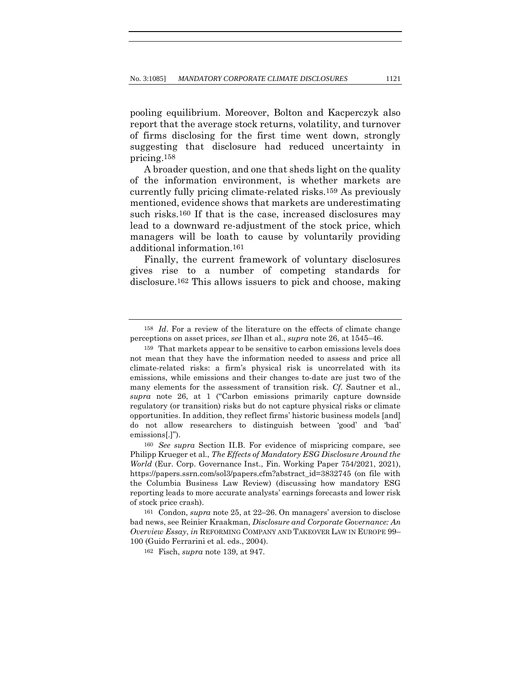pooling equilibrium. Moreover, Bolton and Kacperczyk also report that the average stock returns, volatility, and turnover of firms disclosing for the first time went down, strongly suggesting that disclosure had reduced uncertainty in pricing.158

A broader question, and one that sheds light on the quality of the information environment, is whether markets are currently fully pricing climate-related risks.159 As previously mentioned, evidence shows that markets are underestimating such risks.160 If that is the case, increased disclosures may lead to a downward re-adjustment of the stock price, which managers will be loath to cause by voluntarily providing additional information.161

Finally, the current framework of voluntary disclosures gives rise to a number of competing standards for disclosure.162 This allows issuers to pick and choose, making

<sup>158</sup> *Id*. For a review of the literature on the effects of climate change perceptions on asset prices, *see* Ilhan et al., *supra* note 26, at 1545–46.

<sup>159</sup> That markets appear to be sensitive to carbon emissions levels does not mean that they have the information needed to assess and price all climate-related risks: a firm's physical risk is uncorrelated with its emissions, while emissions and their changes to-date are just two of the many elements for the assessment of transition risk. *Cf*. Sautner et al., *supra* note 26, at 1 ("Carbon emissions primarily capture downside regulatory (or transition) risks but do not capture physical risks or climate opportunities. In addition, they reflect firms' historic business models [and] do not allow researchers to distinguish between 'good' and 'bad' emissions[.]").

<sup>160</sup> *See supra* Section II.B. For evidence of mispricing compare, see Philipp Krueger et al., *The Effects of Mandatory ESG Disclosure Around the World* (Eur. Corp. Governance Inst., Fin. Working Paper 754/2021, 2021), https://papers.ssrn.com/sol3/papers.cfm?abstract\_id=3832745 (on file with the Columbia Business Law Review) (discussing how mandatory ESG reporting leads to more accurate analysts' earnings forecasts and lower risk of stock price crash).

<sup>161</sup> Condon, *supra* note 25, at 22–26. On managers' aversion to disclose bad news, see Reinier Kraakman, *Disclosure and Corporate Governance: An Overview Essay*, *in* REFORMING COMPANY AND TAKEOVER LAW IN EUROPE 99– 100 (Guido Ferrarini et al. eds., 2004).

<sup>162</sup> Fisch, *supra* note 139, at 947.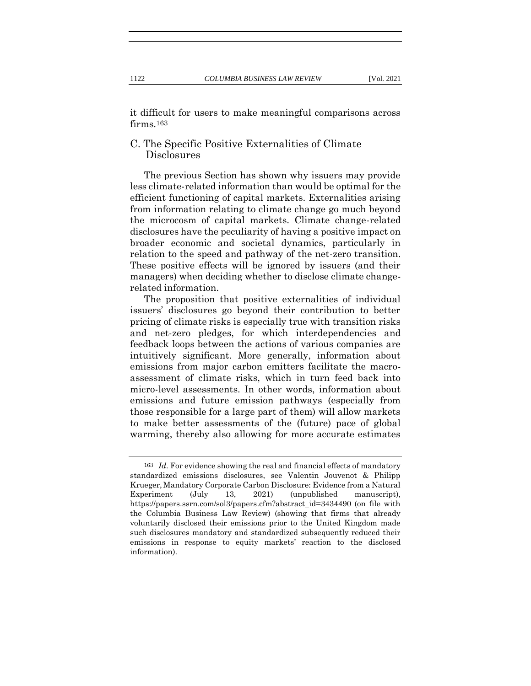it difficult for users to make meaningful comparisons across firms.163

# C. The Specific Positive Externalities of Climate Disclosures

The previous Section has shown why issuers may provide less climate-related information than would be optimal for the efficient functioning of capital markets. Externalities arising from information relating to climate change go much beyond the microcosm of capital markets. Climate change-related disclosures have the peculiarity of having a positive impact on broader economic and societal dynamics, particularly in relation to the speed and pathway of the net-zero transition. These positive effects will be ignored by issuers (and their managers) when deciding whether to disclose climate changerelated information.

The proposition that positive externalities of individual issuers' disclosures go beyond their contribution to better pricing of climate risks is especially true with transition risks and net-zero pledges, for which interdependencies and feedback loops between the actions of various companies are intuitively significant. More generally, information about emissions from major carbon emitters facilitate the macroassessment of climate risks, which in turn feed back into micro-level assessments. In other words, information about emissions and future emission pathways (especially from those responsible for a large part of them) will allow markets to make better assessments of the (future) pace of global warming, thereby also allowing for more accurate estimates

<sup>163</sup> *Id.* For evidence showing the real and financial effects of mandatory standardized emissions disclosures, see Valentin Jouvenot & Philipp Krueger, Mandatory Corporate Carbon Disclosure: Evidence from a Natural Experiment (July 13, 2021) (unpublished manuscript), https://papers.ssrn.com/sol3/papers.cfm?abstract\_id=3434490 (on file with the Columbia Business Law Review) (showing that firms that already voluntarily disclosed their emissions prior to the United Kingdom made such disclosures mandatory and standardized subsequently reduced their emissions in response to equity markets' reaction to the disclosed information).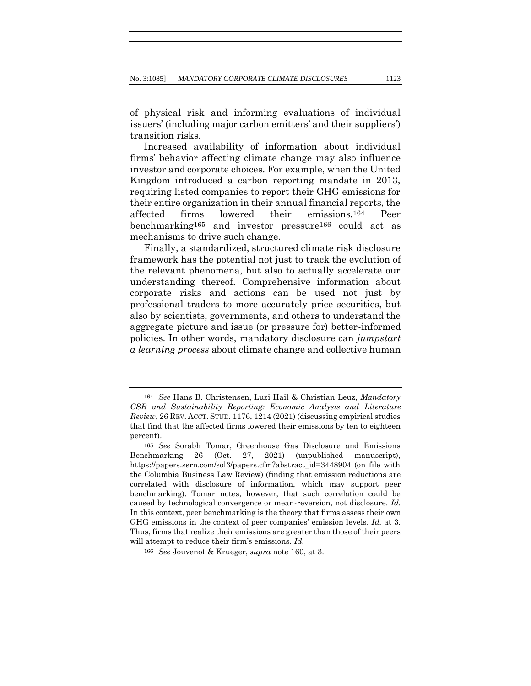of physical risk and informing evaluations of individual issuers' (including major carbon emitters' and their suppliers') transition risks.

Increased availability of information about individual firms' behavior affecting climate change may also influence investor and corporate choices. For example, when the United Kingdom introduced a carbon reporting mandate in 2013, requiring listed companies to report their GHG emissions for their entire organization in their annual financial reports, the affected firms lowered their emissions.164 Peer benchmarking165 and investor pressure166 could act as mechanisms to drive such change.

Finally, a standardized, structured climate risk disclosure framework has the potential not just to track the evolution of the relevant phenomena, but also to actually accelerate our understanding thereof. Comprehensive information about corporate risks and actions can be used not just by professional traders to more accurately price securities, but also by scientists, governments, and others to understand the aggregate picture and issue (or pressure for) better-informed policies. In other words, mandatory disclosure can *jumpstart a learning process* about climate change and collective human

<sup>164</sup> *See* Hans B. Christensen, Luzi Hail & Christian Leuz, *Mandatory CSR and Sustainability Reporting: Economic Analysis and Literature Review*, 26 REV. ACCT. STUD. 1176, 1214 (2021) (discussing empirical studies that find that the affected firms lowered their emissions by ten to eighteen percent).

<sup>165</sup> *See* Sorabh Tomar, Greenhouse Gas Disclosure and Emissions Benchmarking 26 (Oct. 27, 2021) (unpublished manuscript), https://papers.ssrn.com/sol3/papers.cfm?abstract\_id=3448904 (on file with the Columbia Business Law Review) (finding that emission reductions are correlated with disclosure of information, which may support peer benchmarking). Tomar notes, however, that such correlation could be caused by technological convergence or mean-reversion, not disclosure. *Id.*  In this context, peer benchmarking is the theory that firms assess their own GHG emissions in the context of peer companies' emission levels. *Id.* at 3. Thus, firms that realize their emissions are greater than those of their peers will attempt to reduce their firm's emissions. *Id.*

<sup>166</sup> *See* Jouvenot & Krueger, *supra* note 160, at 3.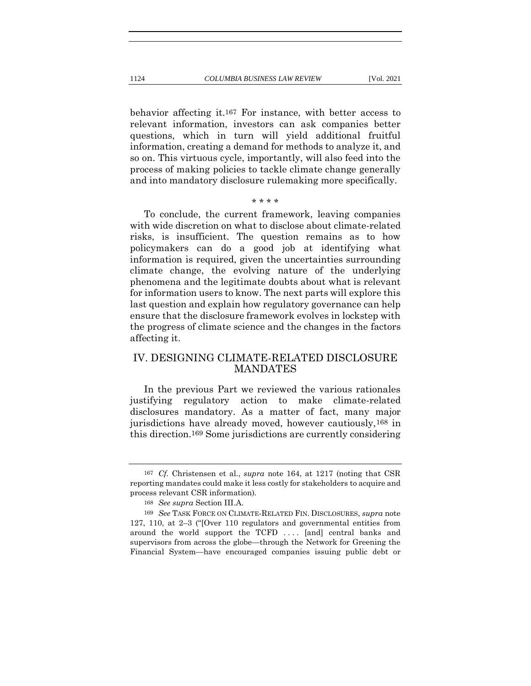behavior affecting it.167 For instance, with better access to relevant information, investors can ask companies better questions, which in turn will yield additional fruitful information, creating a demand for methods to analyze it, and so on. This virtuous cycle, importantly, will also feed into the process of making policies to tackle climate change generally and into mandatory disclosure rulemaking more specifically.

#### \* \* \* \*

To conclude, the current framework, leaving companies with wide discretion on what to disclose about climate-related risks, is insufficient. The question remains as to how policymakers can do a good job at identifying what information is required, given the uncertainties surrounding climate change, the evolving nature of the underlying phenomena and the legitimate doubts about what is relevant for information users to know. The next parts will explore this last question and explain how regulatory governance can help ensure that the disclosure framework evolves in lockstep with the progress of climate science and the changes in the factors affecting it.

# IV. DESIGNING CLIMATE-RELATED DISCLOSURE **MANDATES**

In the previous Part we reviewed the various rationales justifying regulatory action to make climate-related disclosures mandatory. As a matter of fact, many major jurisdictions have already moved, however cautiously,168 in this direction.169 Some jurisdictions are currently considering

<sup>167</sup> *Cf.* Christensen et al., *supra* note 164, at 1217 (noting that CSR reporting mandates could make it less costly for stakeholders to acquire and process relevant CSR information).

<sup>168</sup> *See supra* Section III.A.

<sup>169</sup> *See* TASK FORCE ON CLIMATE-RELATED FIN. DISCLOSURES, *supra* note 127, 110, at 2–3 ("[Over 110 regulators and governmental entities from around the world support the TCFD .... [and] central banks and supervisors from across the globe—through the Network for Greening the Financial System—have encouraged companies issuing public debt or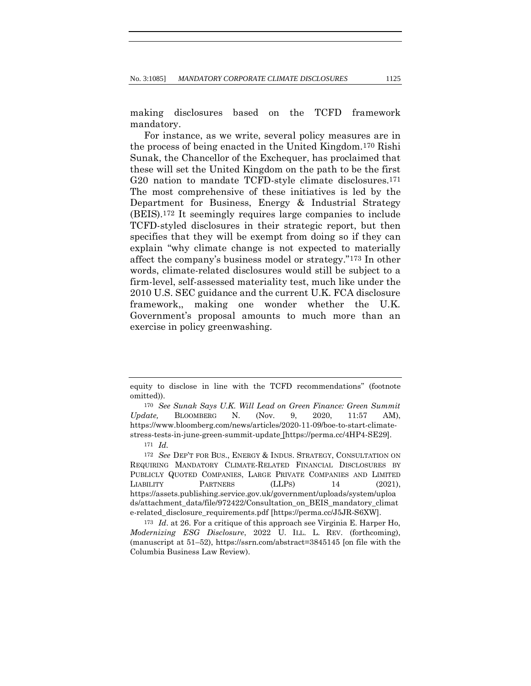making disclosures based on the TCFD framework mandatory.

For instance, as we write, several policy measures are in the process of being enacted in the United Kingdom.170 Rishi Sunak, the Chancellor of the Exchequer, has proclaimed that these will set the United Kingdom on the path to be the first G20 nation to mandate TCFD-style climate disclosures.<sup>171</sup> The most comprehensive of these initiatives is led by the Department for Business, Energy & Industrial Strategy (BEIS).172 It seemingly requires large companies to include TCFD-styled disclosures in their strategic report, but then specifies that they will be exempt from doing so if they can explain "why climate change is not expected to materially affect the company's business model or strategy."173 In other words, climate-related disclosures would still be subject to a firm-level, self-assessed materiality test, much like under the 2010 U.S. SEC guidance and the current U.K. FCA disclosure framework,, making one wonder whether the U.K. Government's proposal amounts to much more than an exercise in policy greenwashing.

171 *Id.*

172 *See* DEP'T FOR BUS., ENERGY & INDUS. STRATEGY, CONSULTATION ON REQUIRING MANDATORY CLIMATE-RELATED FINANCIAL DISCLOSURES BY PUBLICLY QUOTED COMPANIES, LARGE PRIVATE COMPANIES AND LIMITED LIABILITY PARTNERS (LLPS) 14 (2021), https://assets.publishing.service.gov.uk/government/uploads/system/uploa ds/attachment\_data/file/972422/Consultation\_on\_BEIS\_mandatory\_climat e-related\_disclosure\_requirements.pdf [https://perma.cc/J5JR-S6XW].

173 *Id*. at 26. For a critique of this approach see Virginia E. Harper Ho, *Modernizing ESG Disclosure*, 2022 U. ILL. L. REV. (forthcoming), (manuscript at 51–52), https://ssrn.com/abstract=3845145 [on file with the Columbia Business Law Review).

equity to disclose in line with the TCFD recommendations" (footnote omitted)).

<sup>170</sup> *See Sunak Says U.K. Will Lead on Green Finance: Green Summit Update,* BLOOMBERG N. (Nov. 9, 2020, 11:57 AM), https://www.bloomberg.com/news/articles/2020-11-09/boe-to-start-climatestress-tests-in-june-green-summit-update [https://perma.cc/4HP4-SE29].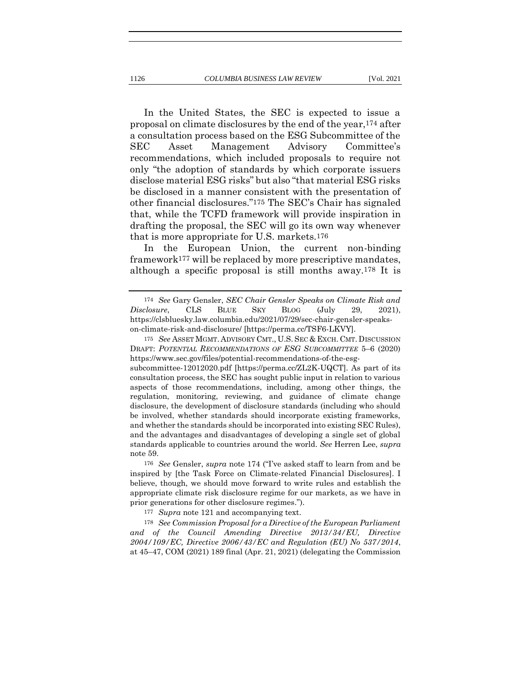In the United States, the SEC is expected to issue a proposal on climate disclosures by the end of the year,174 after a consultation process based on the ESG Subcommittee of the SEC Asset Management Advisory Committee's recommendations, which included proposals to require not only "the adoption of standards by which corporate issuers disclose material ESG risks" but also "that material ESG risks be disclosed in a manner consistent with the presentation of other financial disclosures."175 The SEC's Chair has signaled that, while the TCFD framework will provide inspiration in drafting the proposal, the SEC will go its own way whenever that is more appropriate for U.S. markets.176

In the European Union, the current non-binding framework177 will be replaced by more prescriptive mandates, although a specific proposal is still months away.178 It is

177 *Supra* note 121 and accompanying text.

178 *See Commission Proposal for a Directive of the European Parliament and of the Council Amending Directive 2013/34/EU, Directive 2004/109/EC, Directive 2006/43/EC and Regulation (EU) No 537/2014*, at 45–47, COM (2021) 189 final (Apr. 21, 2021) (delegating the Commission

<sup>174</sup> *See* Gary Gensler, *SEC Chair Gensler Speaks on Climate Risk and Disclosure*, CLS BLUE SKY BLOG (July 29, 2021), https://clsbluesky.law.columbia.edu/2021/07/29/sec-chair-gensler-speakson-climate-risk-and-disclosure/ [https://perma.cc/TSF6-LKVY].

<sup>175</sup> *See* ASSET MGMT. ADVISORY CMT., U.S. SEC & EXCH. CMT. DISCUSSION DRAFT: *POTENTIAL RECOMMENDATIONS OF ESG SUBCOMMITTEE* 5–6 (2020) https://www.sec.gov/files/potential-recommendations-of-the-esgsubcommittee-12012020.pdf [https://perma.cc/ZL2K-UQCT]. As part of its

consultation process, the SEC has sought public input in relation to various aspects of those recommendations, including, among other things, the regulation, monitoring, reviewing, and guidance of climate change disclosure, the development of disclosure standards (including who should be involved, whether standards should incorporate existing frameworks, and whether the standards should be incorporated into existing SEC Rules), and the advantages and disadvantages of developing a single set of global standards applicable to countries around the world. *See* Herren Lee, *supra* note 59.

<sup>176</sup> *See* Gensler, *supra* note 174 ("I've asked staff to learn from and be inspired by [the Task Force on Climate-related Financial Disclosures]. I believe, though, we should move forward to write rules and establish the appropriate climate risk disclosure regime for our markets, as we have in prior generations for other disclosure regimes.").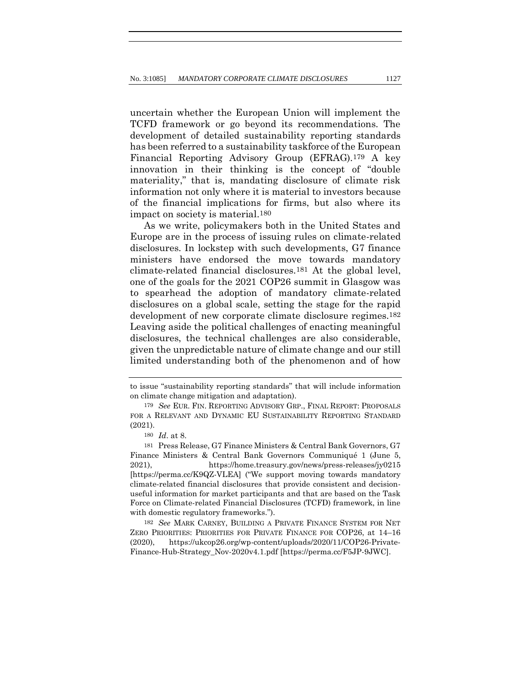uncertain whether the European Union will implement the TCFD framework or go beyond its recommendations. The development of detailed sustainability reporting standards has been referred to a sustainability taskforce of the European Financial Reporting Advisory Group (EFRAG).179 A key innovation in their thinking is the concept of "double materiality," that is, mandating disclosure of climate risk information not only where it is material to investors because of the financial implications for firms, but also where its impact on society is material.180

As we write, policymakers both in the United States and Europe are in the process of issuing rules on climate-related disclosures. In lockstep with such developments, G7 finance ministers have endorsed the move towards mandatory climate-related financial disclosures.181 At the global level, one of the goals for the 2021 COP26 summit in Glasgow was to spearhead the adoption of mandatory climate-related disclosures on a global scale, setting the stage for the rapid development of new corporate climate disclosure regimes.182 Leaving aside the political challenges of enacting meaningful disclosures, the technical challenges are also considerable, given the unpredictable nature of climate change and our still limited understanding both of the phenomenon and of how

to issue "sustainability reporting standards" that will include information on climate change mitigation and adaptation).

<sup>179</sup> *See* EUR. FIN. REPORTING ADVISORY GRP., FINAL REPORT: PROPOSALS FOR A RELEVANT AND DYNAMIC EU SUSTAINABILITY REPORTING STANDARD (2021).

<sup>180</sup> *Id*. at 8.

<sup>181</sup> Press Release, G7 Finance Ministers & Central Bank Governors, G7 Finance Ministers & Central Bank Governors Communiqué 1 (June 5, 2021), https://home.treasury.gov/news/press-releases/jy0215 [https://perma.cc/K9QZ-VLEA] ("We support moving towards mandatory climate-related financial disclosures that provide consistent and decisionuseful information for market participants and that are based on the Task Force on Climate-related Financial Disclosures (TCFD) framework, in line with domestic regulatory frameworks.").

<sup>182</sup> *See* MARK CARNEY, BUILDING A PRIVATE FINANCE SYSTEM FOR NET ZERO PRIORITIES: PRIORITIES FOR PRIVATE FINANCE FOR COP26, at 14–16 (2020), https://ukcop26.org/wp-content/uploads/2020/11/COP26-Private-Finance-Hub-Strategy\_Nov-2020v4.1.pdf [https://perma.cc/F5JP-9JWC].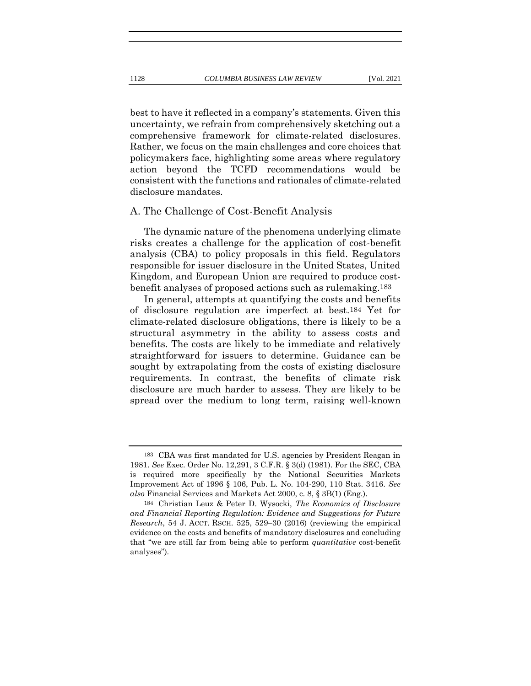best to have it reflected in a company's statements. Given this uncertainty, we refrain from comprehensively sketching out a comprehensive framework for climate-related disclosures. Rather, we focus on the main challenges and core choices that policymakers face, highlighting some areas where regulatory action beyond the TCFD recommendations would be consistent with the functions and rationales of climate-related disclosure mandates.

### A. The Challenge of Cost-Benefit Analysis

The dynamic nature of the phenomena underlying climate risks creates a challenge for the application of cost-benefit analysis (CBA) to policy proposals in this field. Regulators responsible for issuer disclosure in the United States, United Kingdom, and European Union are required to produce costbenefit analyses of proposed actions such as rulemaking.183

In general, attempts at quantifying the costs and benefits of disclosure regulation are imperfect at best.184 Yet for climate-related disclosure obligations, there is likely to be a structural asymmetry in the ability to assess costs and benefits. The costs are likely to be immediate and relatively straightforward for issuers to determine. Guidance can be sought by extrapolating from the costs of existing disclosure requirements. In contrast, the benefits of climate risk disclosure are much harder to assess. They are likely to be spread over the medium to long term, raising well-known

<sup>183</sup> CBA was first mandated for U.S. agencies by President Reagan in 1981. *See* Exec. Order No. 12,291, 3 C.F.R. § 3(d) (1981). For the SEC, CBA is required more specifically by the National Securities Markets Improvement Act of 1996 § 106, Pub. L. No. 104-290, 110 Stat. 3416. *See also* Financial Services and Markets Act 2000, c. 8, § 3B(1) (Eng.).

<sup>184</sup> Christian Leuz & Peter D. Wysocki, *The Economics of Disclosure and Financial Reporting Regulation: Evidence and Suggestions for Future Research*, 54 J. ACCT. RSCH. 525, 529–30 (2016) (reviewing the empirical evidence on the costs and benefits of mandatory disclosures and concluding that "we are still far from being able to perform *quantitative* cost-benefit analyses").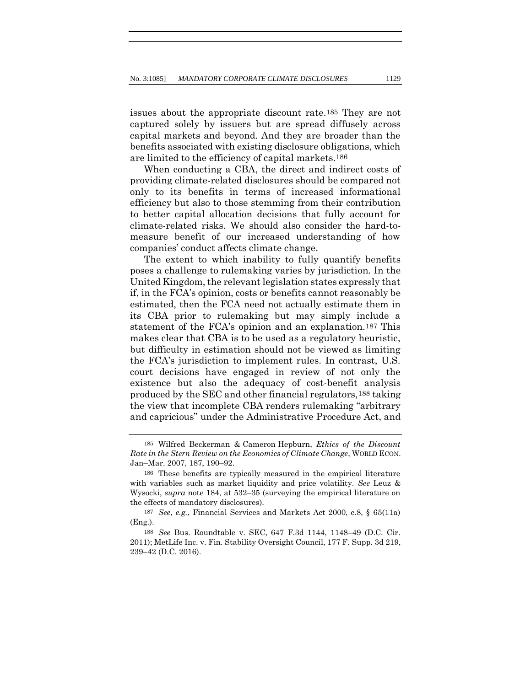issues about the appropriate discount rate.185 They are not captured solely by issuers but are spread diffusely across capital markets and beyond. And they are broader than the benefits associated with existing disclosure obligations, which are limited to the efficiency of capital markets.186

When conducting a CBA, the direct and indirect costs of providing climate-related disclosures should be compared not only to its benefits in terms of increased informational efficiency but also to those stemming from their contribution to better capital allocation decisions that fully account for climate-related risks. We should also consider the hard-tomeasure benefit of our increased understanding of how companies' conduct affects climate change.

The extent to which inability to fully quantify benefits poses a challenge to rulemaking varies by jurisdiction. In the United Kingdom, the relevant legislation states expressly that if, in the FCA's opinion, costs or benefits cannot reasonably be estimated, then the FCA need not actually estimate them in its CBA prior to rulemaking but may simply include a statement of the FCA's opinion and an explanation.187 This makes clear that CBA is to be used as a regulatory heuristic, but difficulty in estimation should not be viewed as limiting the FCA's jurisdiction to implement rules. In contrast, U.S. court decisions have engaged in review of not only the existence but also the adequacy of cost-benefit analysis produced by the SEC and other financial regulators,188 taking the view that incomplete CBA renders rulemaking "arbitrary and capricious" under the Administrative Procedure Act, and

<sup>185</sup> Wilfred Beckerman & Cameron Hepburn, *Ethics of the Discount Rate in the Stern Review on the Economics of Climate Change*, WORLD ECON. Jan–Mar. 2007, 187, 190–92.

<sup>186</sup> These benefits are typically measured in the empirical literature with variables such as market liquidity and price volatility. *See* Leuz & Wysocki, *supra* note 184, at 532–35 (surveying the empirical literature on the effects of mandatory disclosures).

<sup>187</sup> *See*, *e.g.*, Financial Services and Markets Act 2000, c.8, § 65(11a) (Eng.).

<sup>188</sup> *See* Bus. Roundtable v. SEC, 647 F.3d 1144, 1148–49 (D.C. Cir. 2011); MetLife Inc. v. Fin. Stability Oversight Council, 177 F. Supp. 3d 219, 239–42 (D.C. 2016).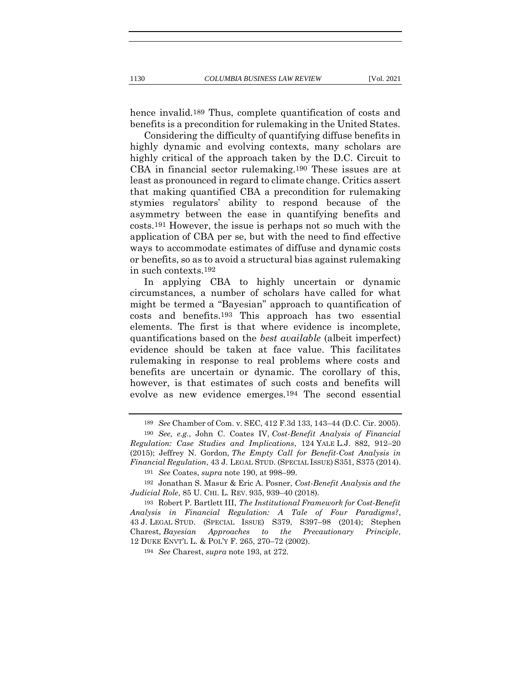hence invalid.189 Thus, complete quantification of costs and benefits is a precondition for rulemaking in the United States.

Considering the difficulty of quantifying diffuse benefits in highly dynamic and evolving contexts, many scholars are highly critical of the approach taken by the D.C. Circuit to CBA in financial sector rulemaking.190 These issues are at least as pronounced in regard to climate change. Critics assert that making quantified CBA a precondition for rulemaking stymies regulators' ability to respond because of the asymmetry between the ease in quantifying benefits and costs.191 However, the issue is perhaps not so much with the application of CBA per se, but with the need to find effective ways to accommodate estimates of diffuse and dynamic costs or benefits, so as to avoid a structural bias against rulemaking in such contexts.192

In applying CBA to highly uncertain or dynamic circumstances, a number of scholars have called for what might be termed a "Bayesian" approach to quantification of costs and benefits.193 This approach has two essential elements. The first is that where evidence is incomplete, quantifications based on the *best available* (albeit imperfect) evidence should be taken at face value. This facilitates rulemaking in response to real problems where costs and benefits are uncertain or dynamic. The corollary of this, however, is that estimates of such costs and benefits will evolve as new evidence emerges.194 The second essential

<sup>189</sup> *See* Chamber of Com. v. SEC, 412 F.3d 133, 143–44 (D.C. Cir. 2005). 190 *See, e.g.*, John C. Coates IV, *Cost-Benefit Analysis of Financial* 

*Regulation: Case Studies and Implications*, 124 YALE L.J. 882, 912–20 (2015); Jeffrey N. Gordon, *The Empty Call for Benefit-Cost Analysis in Financial Regulation*, 43 J. LEGAL STUD. (SPECIAL ISSUE) S351, S375 (2014).

<sup>191</sup> *See* Coates, *supra* note 190, at 998–99.

<sup>192</sup> Jonathan S. Masur & Eric A. Posner, *Cost-Benefit Analysis and the Judicial Role*, 85 U. CHI. L. REV. 935, 939–40 (2018).

<sup>193</sup> Robert P. Bartlett III, *The Institutional Framework for Cost-Benefit Analysis in Financial Regulation: A Tale of Four Paradigms?*, 43 J. LEGAL STUD. (SPECIAL ISSUE) S379, S397–98 (2014); Stephen Charest, *Bayesian Approaches to the Precautionary Principle*, 12 DUKE ENVT'L L. & POL'Y F. 265, 270–72 (2002).

<sup>194</sup> *See* Charest, *supra* note 193, at 272.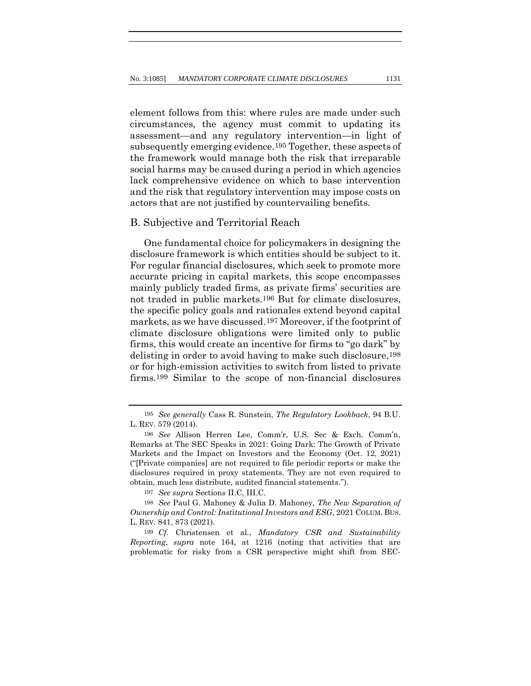element follows from this: where rules are made under such circumstances, the agency must commit to updating its assessment—and any regulatory intervention—in light of subsequently emerging evidence.195 Together, these aspects of the framework would manage both the risk that irreparable social harms may be caused during a period in which agencies lack comprehensive evidence on which to base intervention and the risk that regulatory intervention may impose costs on actors that are not justified by countervailing benefits.

### B. Subjective and Territorial Reach

One fundamental choice for policymakers in designing the disclosure framework is which entities should be subject to it. For regular financial disclosures, which seek to promote more accurate pricing in capital markets, this scope encompasses mainly publicly traded firms, as private firms' securities are not traded in public markets.196 But for climate disclosures, the specific policy goals and rationales extend beyond capital markets, as we have discussed.197 Moreover, if the footprint of climate disclosure obligations were limited only to public firms, this would create an incentive for firms to "go dark" by delisting in order to avoid having to make such disclosure,198 or for high-emission activities to switch from listed to private firms.199 Similar to the scope of non-financial disclosures

<sup>195</sup> *See generally* Cass R. Sunstein, *The Regulatory Lookback*, 94 B.U. L. REV. 579 (2014).

<sup>196</sup> *See* Allison Herren Lee, Comm'r, U.S. Sec & Exch. Comm'n, Remarks at The SEC Speaks in 2021: Going Dark: The Growth of Private Markets and the Impact on Investors and the Economy (Oct. 12, 2021) ("[Private companies] are not required to file periodic reports or make the disclosures required in proxy statements. They are not even required to obtain, much less distribute, audited financial statements.").

<sup>197</sup> *See supra* Sections II.C, III.C.

<sup>198</sup> *See* Paul G. Mahoney & Julia D. Mahoney, *The New Separation of Ownership and Control: Institutional Investors and ESG*, 2021 COLUM. BUS. L. REV. 841, 873 (2021).

<sup>199</sup> *Cf.* Christensen et al., *Mandatory CSR and Sustainability Reporting*, *supra* note 164, at 1216 (noting that activities that are problematic for risky from a CSR perspective might shift from SEC-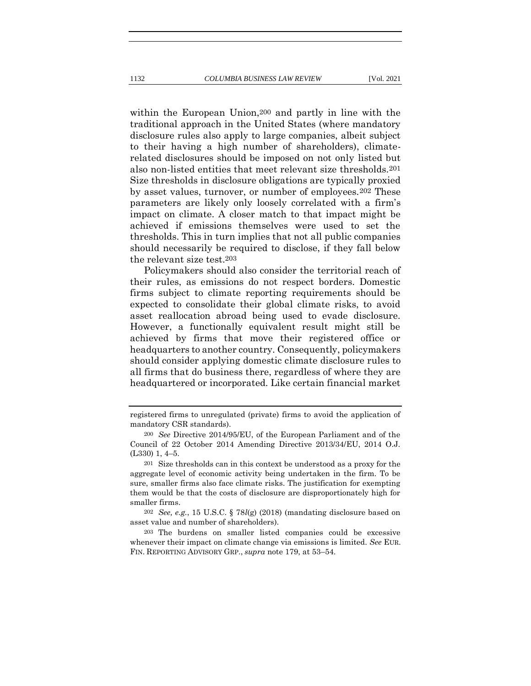within the European Union,200 and partly in line with the traditional approach in the United States (where mandatory disclosure rules also apply to large companies, albeit subject to their having a high number of shareholders), climaterelated disclosures should be imposed on not only listed but also non-listed entities that meet relevant size thresholds.201 Size thresholds in disclosure obligations are typically proxied by asset values, turnover, or number of employees.202 These parameters are likely only loosely correlated with a firm's impact on climate. A closer match to that impact might be

achieved if emissions themselves were used to set the thresholds. This in turn implies that not all public companies should necessarily be required to disclose, if they fall below the relevant size test.203 Policymakers should also consider the territorial reach of their rules, as emissions do not respect borders. Domestic

firms subject to climate reporting requirements should be expected to consolidate their global climate risks, to avoid asset reallocation abroad being used to evade disclosure. However, a functionally equivalent result might still be achieved by firms that move their registered office or headquarters to another country. Consequently, policymakers should consider applying domestic climate disclosure rules to all firms that do business there, regardless of where they are headquartered or incorporated. Like certain financial market

registered firms to unregulated (private) firms to avoid the application of mandatory CSR standards).

<sup>200</sup> *See* Directive 2014/95/EU, of the European Parliament and of the Council of 22 October 2014 Amending Directive 2013/34/EU, 2014 O.J. (L330) 1, 4–5.

<sup>201</sup> Size thresholds can in this context be understood as a proxy for the aggregate level of economic activity being undertaken in the firm. To be sure, smaller firms also face climate risks. The justification for exempting them would be that the costs of disclosure are disproportionately high for smaller firms.

<sup>202</sup> *See, e.g.*, 15 U.S.C. § 78*l*(g) (2018) (mandating disclosure based on asset value and number of shareholders).

<sup>203</sup> The burdens on smaller listed companies could be excessive whenever their impact on climate change via emissions is limited. *See* EUR. FIN. REPORTING ADVISORY GRP., *supra* note 179, at 53–54.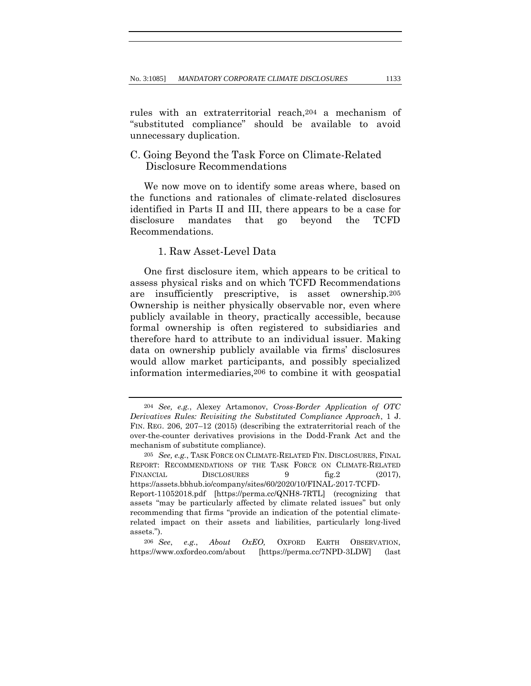rules with an extraterritorial reach,204 a mechanism of "substituted compliance" should be available to avoid unnecessary duplication.

## C. Going Beyond the Task Force on Climate-Related Disclosure Recommendations

We now move on to identify some areas where, based on the functions and rationales of climate-related disclosures identified in Parts II and III, there appears to be a case for disclosure mandates that go beyond the TCFD Recommendations.

### 1. Raw Asset-Level Data

One first disclosure item, which appears to be critical to assess physical risks and on which TCFD Recommendations are insufficiently prescriptive, is asset ownership.205 Ownership is neither physically observable nor, even where publicly available in theory, practically accessible, because formal ownership is often registered to subsidiaries and therefore hard to attribute to an individual issuer. Making data on ownership publicly available via firms' disclosures would allow market participants, and possibly specialized information intermediaries,206 to combine it with geospatial

<sup>204</sup> *See, e.g.*, Alexey Artamonov, *Cross-Border Application of OTC Derivatives Rules: Revisiting the Substituted Compliance Approach*, 1 J. FIN. REG. 206, 207–12 (2015) (describing the extraterritorial reach of the over-the-counter derivatives provisions in the Dodd-Frank Act and the mechanism of substitute compliance).

<sup>205</sup> *See, e.g.*, TASK FORCE ON CLIMATE-RELATED FIN. DISCLOSURES, FINAL REPORT: RECOMMENDATIONS OF THE TASK FORCE ON CLIMATE-RELATED FINANCIAL DISCLOSURES 9 fig.2 (2017), https://assets.bbhub.io/company/sites/60/2020/10/FINAL-2017-TCFD-Report-11052018.pdf [https://perma.cc/QNH8-7RTL] (recognizing that assets "may be particularly affected by climate related issues" but only recommending that firms "provide an indication of the potential climaterelated impact on their assets and liabilities, particularly long-lived assets.").

<sup>206</sup> *See*, *e.g.*, *About OxEO,* OXFORD EARTH OBSERVATION, https://www.oxfordeo.com/about [https://perma.cc/7NPD-3LDW] (last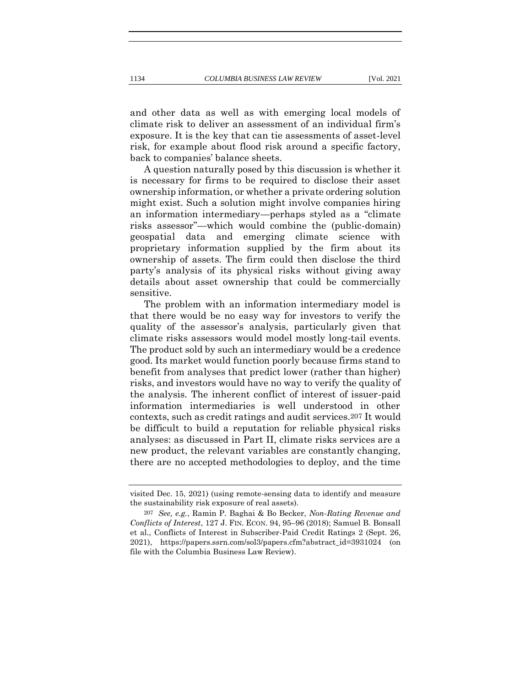and other data as well as with emerging local models of climate risk to deliver an assessment of an individual firm's exposure. It is the key that can tie assessments of asset-level risk, for example about flood risk around a specific factory, back to companies' balance sheets.

A question naturally posed by this discussion is whether it is necessary for firms to be required to disclose their asset ownership information, or whether a private ordering solution might exist. Such a solution might involve companies hiring an information intermediary—perhaps styled as a "climate risks assessor"—which would combine the (public-domain) geospatial data and emerging climate science with proprietary information supplied by the firm about its ownership of assets. The firm could then disclose the third party's analysis of its physical risks without giving away details about asset ownership that could be commercially sensitive.

The problem with an information intermediary model is that there would be no easy way for investors to verify the quality of the assessor's analysis, particularly given that climate risks assessors would model mostly long-tail events. The product sold by such an intermediary would be a credence good. Its market would function poorly because firms stand to benefit from analyses that predict lower (rather than higher) risks, and investors would have no way to verify the quality of the analysis. The inherent conflict of interest of issuer-paid information intermediaries is well understood in other contexts, such as credit ratings and audit services.207 It would be difficult to build a reputation for reliable physical risks analyses: as discussed in Part II, climate risks services are a new product, the relevant variables are constantly changing, there are no accepted methodologies to deploy, and the time

visited Dec. 15, 2021) (using remote-sensing data to identify and measure the sustainability risk exposure of real assets).

<sup>207</sup> *See, e.g.*, Ramin P. Baghai & Bo Becker, *Non-Rating Revenue and Conflicts of Interest*, 127 J. FIN. ECON. 94, 95–96 (2018); Samuel B. Bonsall et al., Conflicts of Interest in Subscriber-Paid Credit Ratings 2 (Sept. 26, 2021), https://papers.ssrn.com/sol3/papers.cfm?abstract\_id=3931024 (on file with the Columbia Business Law Review).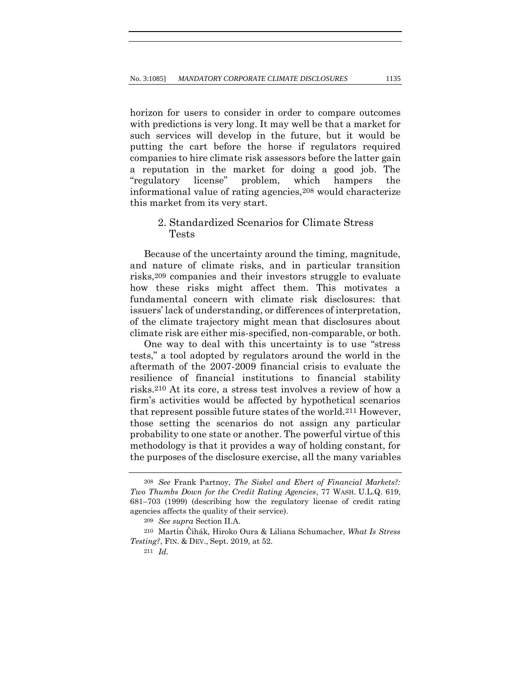horizon for users to consider in order to compare outcomes with predictions is very long. It may well be that a market for such services will develop in the future, but it would be putting the cart before the horse if regulators required companies to hire climate risk assessors before the latter gain a reputation in the market for doing a good job. The "regulatory license" problem, which hampers the informational value of rating agencies,208 would characterize this market from its very start.

## 2. Standardized Scenarios for Climate Stress Tests

Because of the uncertainty around the timing, magnitude, and nature of climate risks, and in particular transition risks,209 companies and their investors struggle to evaluate how these risks might affect them. This motivates a fundamental concern with climate risk disclosures: that issuers' lack of understanding, or differences of interpretation, of the climate trajectory might mean that disclosures about climate risk are either mis-specified, non-comparable, or both.

One way to deal with this uncertainty is to use "stress tests," a tool adopted by regulators around the world in the aftermath of the 2007-2009 financial crisis to evaluate the resilience of financial institutions to financial stability risks.210 At its core, a stress test involves a review of how a firm's activities would be affected by hypothetical scenarios that represent possible future states of the world.211 However, those setting the scenarios do not assign any particular probability to one state or another. The powerful virtue of this methodology is that it provides a way of holding constant, for the purposes of the disclosure exercise, all the many variables

<sup>208</sup> *See* Frank Partnoy, *The Siskel and Ebert of Financial Markets?: Two Thumbs Down for the Credit Rating Agencies*, 77 WASH. U.L.Q. 619, 681–703 (1999) (describing how the regulatory license of credit rating agencies affects the quality of their service).

<sup>209</sup> *See supra* Section II.A.

<sup>210</sup> Martin Čihák, Hiroko Oura & Liliana Schumacher, *What Is Stress Testing?*, FIN. & DEV., Sept. 2019, at 52.

<sup>211</sup> *Id.*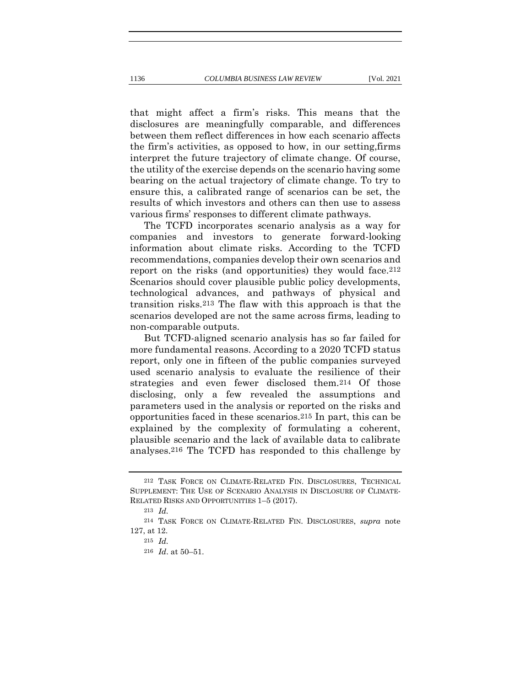that might affect a firm's risks. This means that the disclosures are meaningfully comparable, and differences between them reflect differences in how each scenario affects the firm's activities, as opposed to how, in our setting,firms interpret the future trajectory of climate change. Of course, the utility of the exercise depends on the scenario having some bearing on the actual trajectory of climate change. To try to

ensure this, a calibrated range of scenarios can be set, the results of which investors and others can then use to assess various firms' responses to different climate pathways.

The TCFD incorporates scenario analysis as a way for companies and investors to generate forward-looking information about climate risks. According to the TCFD recommendations, companies develop their own scenarios and report on the risks (and opportunities) they would face.212 Scenarios should cover plausible public policy developments, technological advances, and pathways of physical and transition risks.213 The flaw with this approach is that the scenarios developed are not the same across firms, leading to non-comparable outputs.

But TCFD-aligned scenario analysis has so far failed for more fundamental reasons. According to a 2020 TCFD status report, only one in fifteen of the public companies surveyed used scenario analysis to evaluate the resilience of their strategies and even fewer disclosed them.214 Of those disclosing, only a few revealed the assumptions and parameters used in the analysis or reported on the risks and opportunities faced in these scenarios.215 In part, this can be explained by the complexity of formulating a coherent, plausible scenario and the lack of available data to calibrate analyses.216 The TCFD has responded to this challenge by

<sup>212</sup> TASK FORCE ON CLIMATE-RELATED FIN. DISCLOSURES, TECHNICAL SUPPLEMENT: THE USE OF SCENARIO ANALYSIS IN DISCLOSURE OF CLIMATE-RELATED RISKS AND OPPORTUNITIES 1–5 (2017).

<sup>213</sup> *Id.*

<sup>214</sup> TASK FORCE ON CLIMATE-RELATED FIN. DISCLOSURES, *supra* note 127, at 12.

<sup>215</sup> *Id.*

<sup>216</sup> *Id*. at 50–51.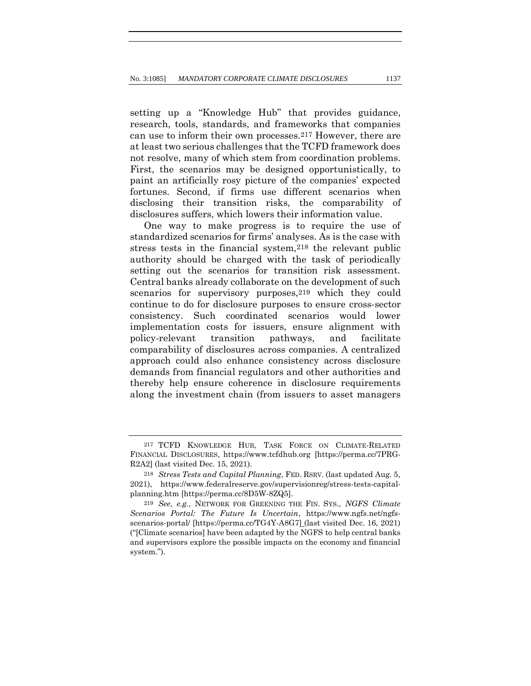setting up a "Knowledge Hub" that provides guidance, research, tools, standards, and frameworks that companies can use to inform their own processes.217 However, there are at least two serious challenges that the TCFD framework does not resolve, many of which stem from coordination problems. First, the scenarios may be designed opportunistically, to paint an artificially rosy picture of the companies' expected fortunes. Second, if firms use different scenarios when disclosing their transition risks, the comparability of disclosures suffers, which lowers their information value.

One way to make progress is to require the use of standardized scenarios for firms' analyses. As is the case with stress tests in the financial system,<sup>218</sup> the relevant public authority should be charged with the task of periodically setting out the scenarios for transition risk assessment. Central banks already collaborate on the development of such scenarios for supervisory purposes, 219 which they could continue to do for disclosure purposes to ensure cross-sector consistency. Such coordinated scenarios would lower implementation costs for issuers, ensure alignment with policy-relevant transition pathways, and facilitate comparability of disclosures across companies. A centralized approach could also enhance consistency across disclosure demands from financial regulators and other authorities and thereby help ensure coherence in disclosure requirements along the investment chain (from issuers to asset managers

<sup>217</sup> TCFD KNOWLEDGE HUB, TASK FORCE ON CLIMATE-RELATED FINANCIAL DISCLOSURES, https://www.tcfdhub.org [https://perma.cc/7PRG-R2A2] (last visited Dec. 15, 2021).

<sup>218</sup> *Stress Tests and Capital Planning*, FED. RSRV. (last updated Aug. 5, 2021), https://www.federalreserve.gov/supervisionreg/stress-tests-capitalplanning.htm [https://perma.cc/8D5W-8ZQ5].

<sup>219</sup> *See*, *e.g.*, NETWORK FOR GREENING THE FIN. SYS., *NGFS Climate Scenarios Portal: The Future Is Uncertain*, https://www.ngfs.net/ngfsscenarios-portal/ [https://perma.cc/TG4Y-A8G7] (last visited Dec. 16, 2021) ("[Climate scenarios] have been adapted by the NGFS to help central banks and supervisors explore the possible impacts on the economy and financial system.").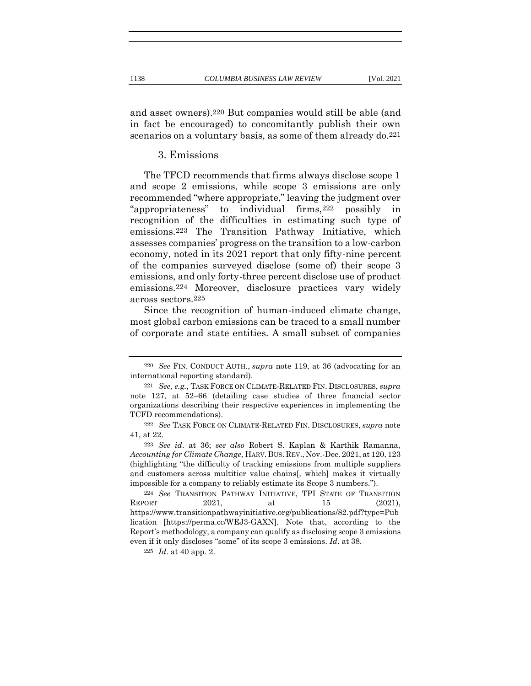and asset owners).220 But companies would still be able (and in fact be encouraged) to concomitantly publish their own scenarios on a voluntary basis, as some of them already do.<sup>221</sup>

3. Emissions

The TFCD recommends that firms always disclose scope 1 and scope 2 emissions, while scope 3 emissions are only recommended "where appropriate," leaving the judgment over "appropriateness" to individual firms,222 possibly in recognition of the difficulties in estimating such type of emissions.223 The Transition Pathway Initiative, which assesses companies' progress on the transition to a low-carbon economy, noted in its 2021 report that only fifty-nine percent of the companies surveyed disclose (some of) their scope 3 emissions, and only forty-three percent disclose use of product emissions.224 Moreover, disclosure practices vary widely across sectors.225

Since the recognition of human-induced climate change, most global carbon emissions can be traced to a small number of corporate and state entities. A small subset of companies

<sup>220</sup> *See* FIN. CONDUCT AUTH., *supra* note 119, at 36 (advocating for an international reporting standard).

<sup>221</sup> *See, e.g.*, TASK FORCE ON CLIMATE-RELATED FIN. DISCLOSURES, *supra* note 127, at 52–66 (detailing case studies of three financial sector organizations describing their respective experiences in implementing the TCFD recommendations).

<sup>222</sup> *See* TASK FORCE ON CLIMATE-RELATED FIN. DISCLOSURES, *supra* note 41, at 22.

<sup>223</sup> *See id*. at 36; *see also* Robert S. Kaplan & Karthik Ramanna, *Accounting for Climate Change*, HARV. BUS.REV., Nov.-Dec. 2021, at 120, 123 (highlighting "the difficulty of tracking emissions from multiple suppliers and customers across multitier value chains[, which] makes it virtually impossible for a company to reliably estimate its Scope 3 numbers.").

<sup>224</sup> *See* TRANSITION PATHWAY INITIATIVE, TPI STATE OF TRANSITION REPORT 2021, at 15 (2021), https://www.transitionpathwayinitiative.org/publications/82.pdf?type=Pub lication [https://perma.cc/WEJ3-GAXN]. Note that, according to the Report's methodology, a company can qualify as disclosing scope 3 emissions even if it only discloses "some" of its scope 3 emissions. *Id*. at 38.

<sup>225</sup> *Id*. at 40 app. 2.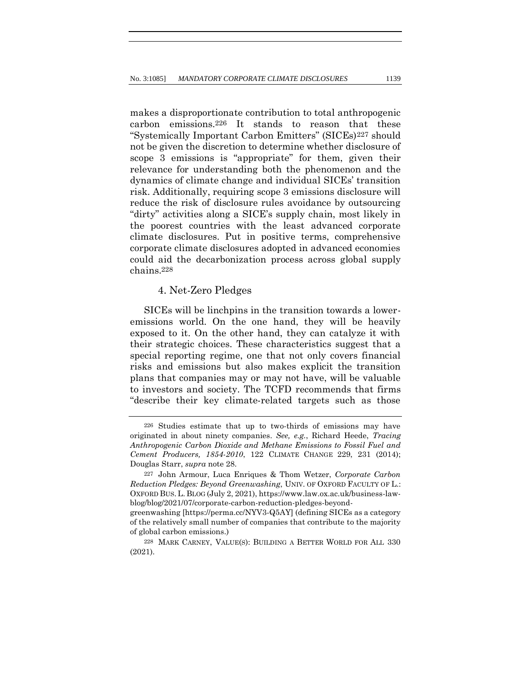makes a disproportionate contribution to total anthropogenic carbon emissions.226 It stands to reason that these "Systemically Important Carbon Emitters" (SICEs)227 should not be given the discretion to determine whether disclosure of scope 3 emissions is "appropriate" for them, given their relevance for understanding both the phenomenon and the dynamics of climate change and individual SICEs' transition risk. Additionally, requiring scope 3 emissions disclosure will reduce the risk of disclosure rules avoidance by outsourcing "dirty" activities along a SICE's supply chain, most likely in the poorest countries with the least advanced corporate climate disclosures. Put in positive terms, comprehensive corporate climate disclosures adopted in advanced economies could aid the decarbonization process across global supply chains.228

## 4. Net-Zero Pledges

SICEs will be linchpins in the transition towards a loweremissions world. On the one hand, they will be heavily exposed to it. On the other hand, they can catalyze it with their strategic choices. These characteristics suggest that a special reporting regime, one that not only covers financial risks and emissions but also makes explicit the transition plans that companies may or may not have, will be valuable to investors and society. The TCFD recommends that firms "describe their key climate-related targets such as those

<sup>226</sup> Studies estimate that up to two-thirds of emissions may have originated in about ninety companies. *See, e.g.*, Richard Heede, *Tracing Anthropogenic Carbon Dioxide and Methane Emissions to Fossil Fuel and Cement Producers, 1854-2010*, 122 CLIMATE CHANGE 229, 231 (2014); Douglas Starr, *supra* note 28.

<sup>227</sup> John Armour, Luca Enriques & Thom Wetzer, *Corporate Carbon Reduction Pledges: Beyond Greenwashing*, UNIV. OF OXFORD FACULTY OF L.: OXFORD BUS.L. BLOG (July 2, 2021), https://www.law.ox.ac.uk/business-lawblog/blog/2021/07/corporate-carbon-reduction-pledges-beyond-

greenwashing [https://perma.cc/NYV3-Q5AY] (defining SICEs as a category of the relatively small number of companies that contribute to the majority of global carbon emissions.)

<sup>228</sup> MARK CARNEY, VALUE(S): BUILDING A BETTER WORLD FOR ALL 330 (2021).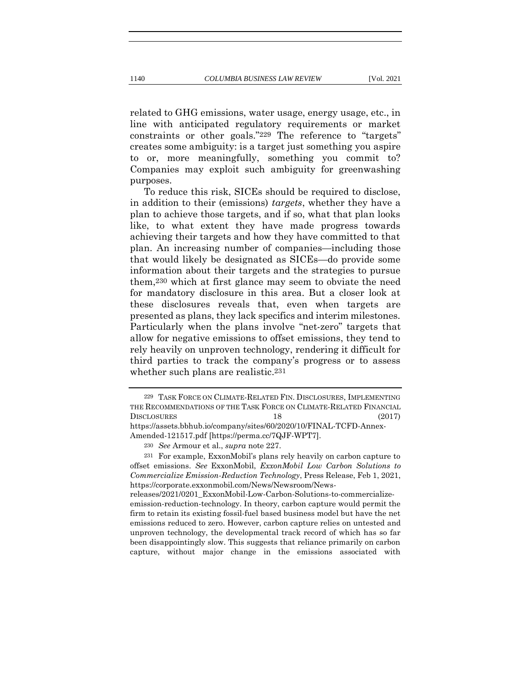related to GHG emissions, water usage, energy usage, etc., in line with anticipated regulatory requirements or market constraints or other goals."229 The reference to "targets" creates some ambiguity: is a target just something you aspire to or, more meaningfully, something you commit to? Companies may exploit such ambiguity for greenwashing purposes.

To reduce this risk, SICEs should be required to disclose, in addition to their (emissions) *targets*, whether they have a plan to achieve those targets, and if so, what that plan looks like, to what extent they have made progress towards achieving their targets and how they have committed to that plan. An increasing number of companies—including those that would likely be designated as SICEs—do provide some information about their targets and the strategies to pursue them,230 which at first glance may seem to obviate the need for mandatory disclosure in this area. But a closer look at these disclosures reveals that, even when targets are presented as plans, they lack specifics and interim milestones. Particularly when the plans involve "net-zero" targets that allow for negative emissions to offset emissions, they tend to rely heavily on unproven technology, rendering it difficult for third parties to track the company's progress or to assess whether such plans are realistic.231

releases/2021/0201\_ExxonMobil-Low-Carbon-Solutions-to-commercializeemission-reduction-technology. In theory, carbon capture would permit the firm to retain its existing fossil-fuel based business model but have the net emissions reduced to zero. However, carbon capture relies on untested and unproven technology, the developmental track record of which has so far been disappointingly slow. This suggests that reliance primarily on carbon capture, without major change in the emissions associated with

<sup>229</sup> TASK FORCE ON CLIMATE-RELATED FIN. DISCLOSURES, IMPLEMENTING THE RECOMMENDATIONS OF THE TASK FORCE ON CLIMATE-RELATED FINANCIAL DISCLOSURES 18 (2017) https://assets.bbhub.io/company/sites/60/2020/10/FINAL-TCFD-Annex-Amended-121517.pdf [https://perma.cc/7QJF-WPT7].

<sup>230</sup> *See* Armour et al., *supra* note 227.

<sup>231</sup> For example, ExxonMobil's plans rely heavily on carbon capture to offset emissions. *See* ExxonMobil, *ExxonMobil Low Carbon Solutions to Commercialize Emission-Reduction Technology*, Press Release, Feb 1, 2021, https://corporate.exxonmobil.com/News/Newsroom/News-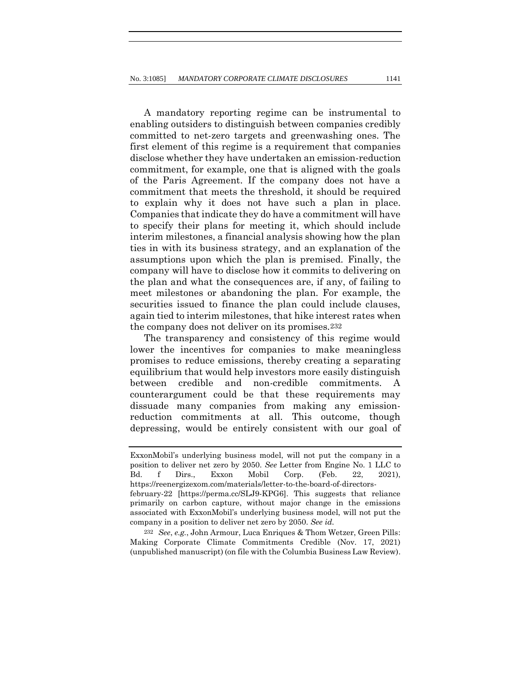A mandatory reporting regime can be instrumental to enabling outsiders to distinguish between companies credibly committed to net-zero targets and greenwashing ones. The first element of this regime is a requirement that companies disclose whether they have undertaken an emission-reduction commitment, for example, one that is aligned with the goals of the Paris Agreement. If the company does not have a commitment that meets the threshold, it should be required to explain why it does not have such a plan in place. Companies that indicate they do have a commitment will have to specify their plans for meeting it, which should include interim milestones, a financial analysis showing how the plan ties in with its business strategy, and an explanation of the assumptions upon which the plan is premised. Finally, the company will have to disclose how it commits to delivering on the plan and what the consequences are, if any, of failing to meet milestones or abandoning the plan. For example, the securities issued to finance the plan could include clauses, again tied to interim milestones, that hike interest rates when the company does not deliver on its promises.232

The transparency and consistency of this regime would lower the incentives for companies to make meaningless promises to reduce emissions, thereby creating a separating equilibrium that would help investors more easily distinguish between credible and non-credible commitments. A counterargument could be that these requirements may dissuade many companies from making any emissionreduction commitments at all. This outcome, though depressing, would be entirely consistent with our goal of

232 *See*, *e.g.*, John Armour, Luca Enriques & Thom Wetzer, Green Pills: Making Corporate Climate Commitments Credible (Nov. 17, 2021) (unpublished manuscript) (on file with the Columbia Business Law Review).

ExxonMobil's underlying business model, will not put the company in a position to deliver net zero by 2050. *See* Letter from Engine No. 1 LLC to Bd. f Dirs., Exxon Mobil Corp. (Feb. 22, 2021), https://reenergizexom.com/materials/letter-to-the-board-of-directorsfebruary-22 [https://perma.cc/SLJ9-KPG6]. This suggests that reliance primarily on carbon capture, without major change in the emissions associated with ExxonMobil's underlying business model, will not put the company in a position to deliver net zero by 2050. *See id.*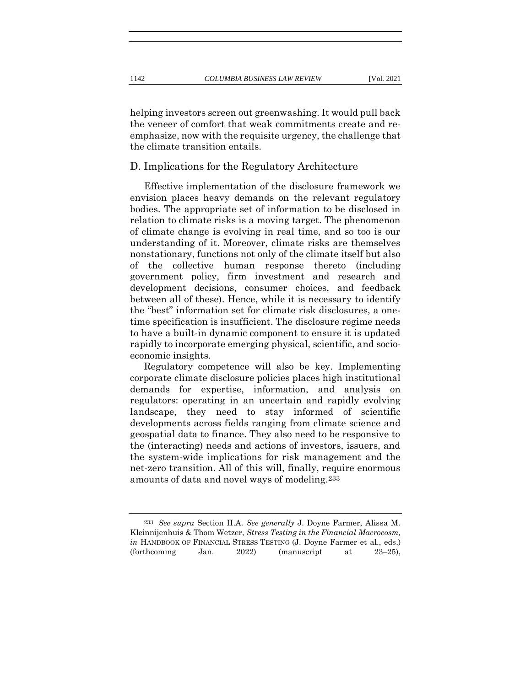helping investors screen out greenwashing. It would pull back the veneer of comfort that weak commitments create and reemphasize, now with the requisite urgency, the challenge that the climate transition entails.

### D. Implications for the Regulatory Architecture

Effective implementation of the disclosure framework we envision places heavy demands on the relevant regulatory bodies. The appropriate set of information to be disclosed in relation to climate risks is a moving target. The phenomenon of climate change is evolving in real time, and so too is our understanding of it. Moreover, climate risks are themselves nonstationary, functions not only of the climate itself but also of the collective human response thereto (including government policy, firm investment and research and development decisions, consumer choices, and feedback between all of these). Hence, while it is necessary to identify the "best" information set for climate risk disclosures, a onetime specification is insufficient. The disclosure regime needs to have a built-in dynamic component to ensure it is updated rapidly to incorporate emerging physical, scientific, and socioeconomic insights.

Regulatory competence will also be key. Implementing corporate climate disclosure policies places high institutional demands for expertise, information, and analysis on regulators: operating in an uncertain and rapidly evolving landscape, they need to stay informed of scientific developments across fields ranging from climate science and geospatial data to finance. They also need to be responsive to the (interacting) needs and actions of investors, issuers, and the system-wide implications for risk management and the net-zero transition. All of this will, finally, require enormous amounts of data and novel ways of modeling.233

<sup>233</sup> *See supra* Section II.A. *See generally* J. Doyne Farmer, Alissa M. Kleinnijenhuis & Thom Wetzer, *Stress Testing in the Financial Macrocosm, in* HANDBOOK OF FINANCIAL STRESS TESTING (J. Doyne Farmer et al., eds.) (forthcoming Jan. 2022) (manuscript at 23–25),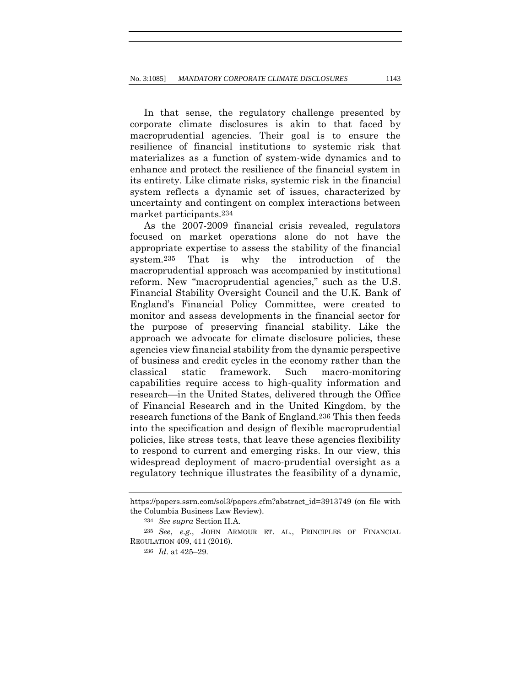In that sense, the regulatory challenge presented by corporate climate disclosures is akin to that faced by macroprudential agencies. Their goal is to ensure the resilience of financial institutions to systemic risk that materializes as a function of system-wide dynamics and to enhance and protect the resilience of the financial system in its entirety. Like climate risks, systemic risk in the financial system reflects a dynamic set of issues, characterized by uncertainty and contingent on complex interactions between market participants.234

As the 2007-2009 financial crisis revealed, regulators focused on market operations alone do not have the appropriate expertise to assess the stability of the financial system.235 That is why the introduction of the macroprudential approach was accompanied by institutional reform. New "macroprudential agencies," such as the U.S. Financial Stability Oversight Council and the U.K. Bank of England's Financial Policy Committee, were created to monitor and assess developments in the financial sector for the purpose of preserving financial stability. Like the approach we advocate for climate disclosure policies, these agencies view financial stability from the dynamic perspective of business and credit cycles in the economy rather than the classical static framework. Such macro-monitoring capabilities require access to high-quality information and research—in the United States, delivered through the Office of Financial Research and in the United Kingdom, by the research functions of the Bank of England.236 This then feeds into the specification and design of flexible macroprudential policies, like stress tests, that leave these agencies flexibility to respond to current and emerging risks. In our view, this widespread deployment of macro-prudential oversight as a regulatory technique illustrates the feasibility of a dynamic,

https://papers.ssrn.com/sol3/papers.cfm?abstract\_id=3913749 (on file with the Columbia Business Law Review).

<sup>234</sup> *See supra* Section II.A.

<sup>235</sup> *See*, *e.g.*, JOHN ARMOUR ET. AL., PRINCIPLES OF FINANCIAL REGULATION 409, 411 (2016).

<sup>236</sup> *Id*. at 425–29.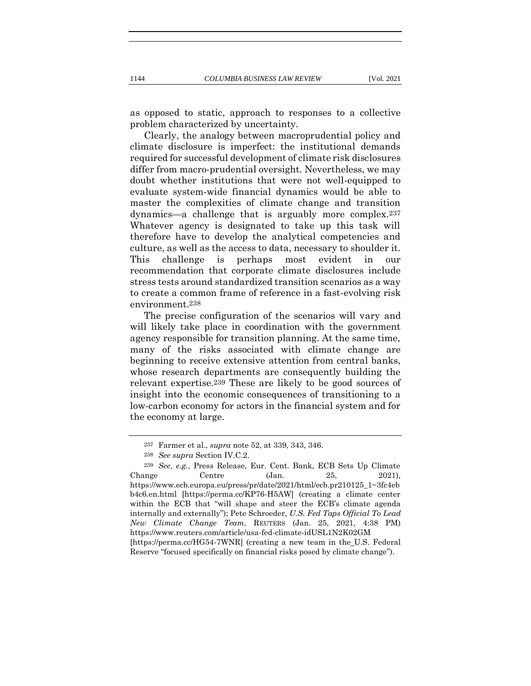as opposed to static, approach to responses to a collective problem characterized by uncertainty.

Clearly, the analogy between macroprudential policy and climate disclosure is imperfect: the institutional demands required for successful development of climate risk disclosures differ from macro-prudential oversight. Nevertheless, we may doubt whether institutions that were not well-equipped to evaluate system-wide financial dynamics would be able to master the complexities of climate change and transition dynamics—a challenge that is arguably more complex.237 Whatever agency is designated to take up this task will therefore have to develop the analytical competencies and culture, as well as the access to data, necessary to shoulder it. This challenge is perhaps most evident in our recommendation that corporate climate disclosures include stress tests around standardized transition scenarios as a way to create a common frame of reference in a fast-evolving risk environment.238

The precise configuration of the scenarios will vary and will likely take place in coordination with the government agency responsible for transition planning. At the same time, many of the risks associated with climate change are beginning to receive extensive attention from central banks, whose research departments are consequently building the relevant expertise.239 These are likely to be good sources of insight into the economic consequences of transitioning to a low-carbon economy for actors in the financial system and for the economy at large.

<sup>237</sup> Farmer et al., *supra* note 52, at 339, 343, 346.

<sup>238</sup> *See supra* Section IV.C.2.

<sup>239</sup> *See, e.g.*, Press Release, Eur. Cent. Bank, ECB Sets Up Climate Change Centre  $(Jan. 25, 2021)$ , https://www.ecb.europa.eu/press/pr/date/2021/html/ecb.pr210125\_1~3fc4eb b4c6.en.html [https://perma.cc/KP76-H5AW] (creating a climate center within the ECB that "will shape and steer the ECB's climate agenda internally and externally"); Pete Schroeder, *U.S. Fed Taps Official To Lead New Climate Change Team*, REUTERS (Jan. 25, 2021, 4:38 PM) https://www.reuters.com/article/usa-fed-climate-idUSL1N2K02GM [https://perma.cc/HG54-7WNR] (creating a new team in the U.S. Federal Reserve "focused specifically on financial risks posed by climate change").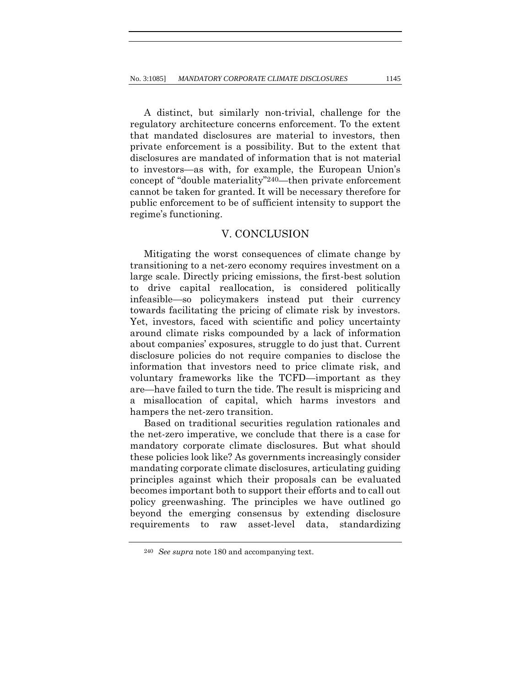A distinct, but similarly non-trivial, challenge for the regulatory architecture concerns enforcement. To the extent that mandated disclosures are material to investors, then private enforcement is a possibility. But to the extent that disclosures are mandated of information that is not material to investors—as with, for example, the European Union's concept of "double materiality"240—then private enforcement cannot be taken for granted. It will be necessary therefore for public enforcement to be of sufficient intensity to support the regime's functioning.

### V. CONCLUSION

Mitigating the worst consequences of climate change by transitioning to a net-zero economy requires investment on a large scale. Directly pricing emissions, the first-best solution to drive capital reallocation, is considered politically infeasible—so policymakers instead put their currency towards facilitating the pricing of climate risk by investors. Yet, investors, faced with scientific and policy uncertainty around climate risks compounded by a lack of information about companies' exposures, struggle to do just that. Current disclosure policies do not require companies to disclose the information that investors need to price climate risk, and voluntary frameworks like the TCFD—important as they are—have failed to turn the tide. The result is mispricing and a misallocation of capital, which harms investors and hampers the net-zero transition.

Based on traditional securities regulation rationales and the net-zero imperative, we conclude that there is a case for mandatory corporate climate disclosures. But what should these policies look like? As governments increasingly consider mandating corporate climate disclosures, articulating guiding principles against which their proposals can be evaluated becomes important both to support their efforts and to call out policy greenwashing. The principles we have outlined go beyond the emerging consensus by extending disclosure requirements to raw asset-level data, standardizing

<sup>240</sup> *See supra* note 180 and accompanying text.